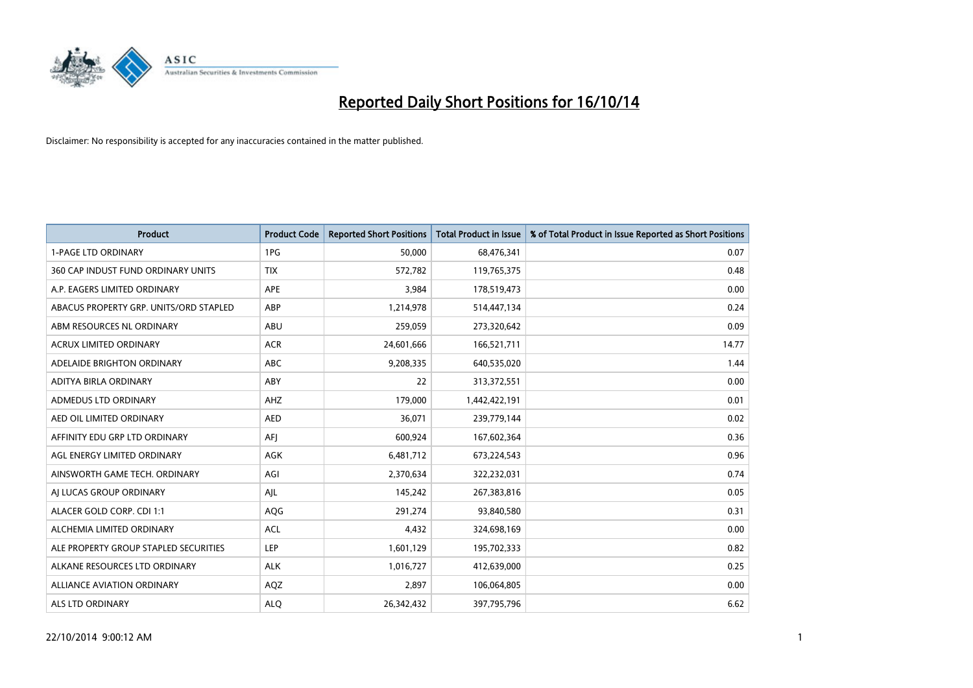

| <b>Product</b>                         | <b>Product Code</b> | <b>Reported Short Positions</b> | <b>Total Product in Issue</b> | % of Total Product in Issue Reported as Short Positions |
|----------------------------------------|---------------------|---------------------------------|-------------------------------|---------------------------------------------------------|
| <b>1-PAGE LTD ORDINARY</b>             | 1PG                 | 50,000                          | 68,476,341                    | 0.07                                                    |
| 360 CAP INDUST FUND ORDINARY UNITS     | <b>TIX</b>          | 572,782                         | 119,765,375                   | 0.48                                                    |
| A.P. EAGERS LIMITED ORDINARY           | APE                 | 3,984                           | 178,519,473                   | 0.00                                                    |
| ABACUS PROPERTY GRP. UNITS/ORD STAPLED | ABP                 | 1,214,978                       | 514,447,134                   | 0.24                                                    |
| ABM RESOURCES NL ORDINARY              | ABU                 | 259,059                         | 273,320,642                   | 0.09                                                    |
| <b>ACRUX LIMITED ORDINARY</b>          | <b>ACR</b>          | 24,601,666                      | 166,521,711                   | 14.77                                                   |
| ADELAIDE BRIGHTON ORDINARY             | <b>ABC</b>          | 9,208,335                       | 640,535,020                   | 1.44                                                    |
| ADITYA BIRLA ORDINARY                  | ABY                 | 22                              | 313,372,551                   | 0.00                                                    |
| ADMEDUS LTD ORDINARY                   | AHZ                 | 179,000                         | 1,442,422,191                 | 0.01                                                    |
| AED OIL LIMITED ORDINARY               | <b>AED</b>          | 36,071                          | 239,779,144                   | 0.02                                                    |
| AFFINITY EDU GRP LTD ORDINARY          | AFJ                 | 600,924                         | 167,602,364                   | 0.36                                                    |
| AGL ENERGY LIMITED ORDINARY            | AGK                 | 6,481,712                       | 673,224,543                   | 0.96                                                    |
| AINSWORTH GAME TECH. ORDINARY          | AGI                 | 2,370,634                       | 322,232,031                   | 0.74                                                    |
| AI LUCAS GROUP ORDINARY                | AJL                 | 145,242                         | 267,383,816                   | 0.05                                                    |
| ALACER GOLD CORP. CDI 1:1              | AQG                 | 291,274                         | 93,840,580                    | 0.31                                                    |
| ALCHEMIA LIMITED ORDINARY              | <b>ACL</b>          | 4,432                           | 324,698,169                   | 0.00                                                    |
| ALE PROPERTY GROUP STAPLED SECURITIES  | LEP                 | 1,601,129                       | 195,702,333                   | 0.82                                                    |
| ALKANE RESOURCES LTD ORDINARY          | <b>ALK</b>          | 1,016,727                       | 412,639,000                   | 0.25                                                    |
| <b>ALLIANCE AVIATION ORDINARY</b>      | AQZ                 | 2,897                           | 106,064,805                   | 0.00                                                    |
| ALS LTD ORDINARY                       | <b>ALO</b>          | 26,342,432                      | 397,795,796                   | 6.62                                                    |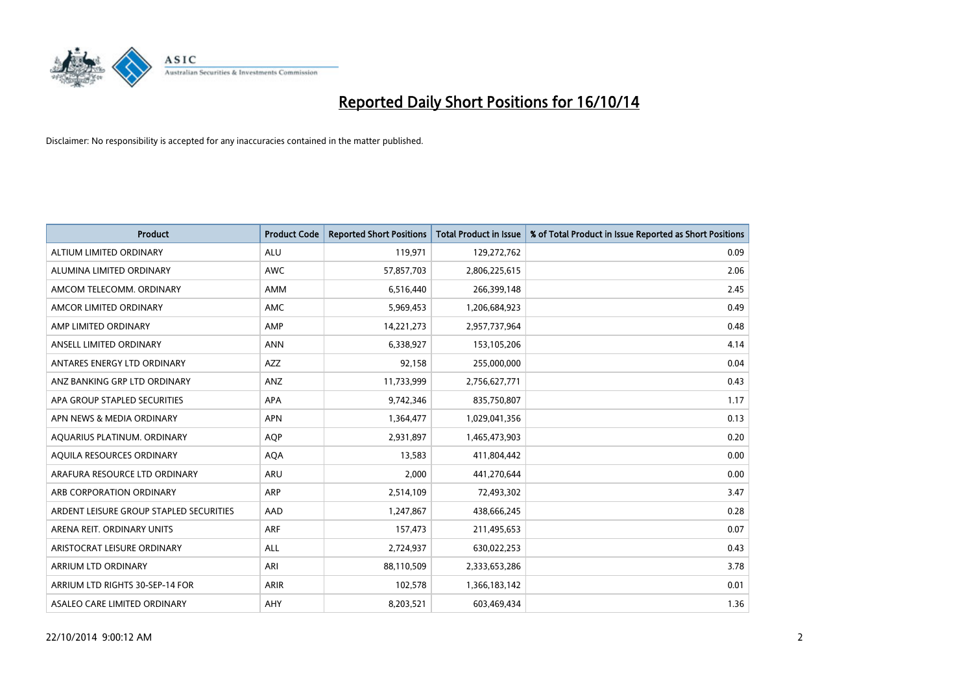

| <b>Product</b>                          | <b>Product Code</b> | <b>Reported Short Positions</b> | <b>Total Product in Issue</b> | % of Total Product in Issue Reported as Short Positions |
|-----------------------------------------|---------------------|---------------------------------|-------------------------------|---------------------------------------------------------|
| ALTIUM LIMITED ORDINARY                 | <b>ALU</b>          | 119,971                         | 129,272,762                   | 0.09                                                    |
| ALUMINA LIMITED ORDINARY                | AWC                 | 57,857,703                      | 2,806,225,615                 | 2.06                                                    |
| AMCOM TELECOMM, ORDINARY                | AMM                 | 6,516,440                       | 266,399,148                   | 2.45                                                    |
| AMCOR LIMITED ORDINARY                  | AMC                 | 5,969,453                       | 1,206,684,923                 | 0.49                                                    |
| AMP LIMITED ORDINARY                    | AMP                 | 14,221,273                      | 2,957,737,964                 | 0.48                                                    |
| ANSELL LIMITED ORDINARY                 | <b>ANN</b>          | 6,338,927                       | 153,105,206                   | 4.14                                                    |
| ANTARES ENERGY LTD ORDINARY             | AZZ                 | 92,158                          | 255,000,000                   | 0.04                                                    |
| ANZ BANKING GRP LTD ORDINARY            | ANZ                 | 11,733,999                      | 2,756,627,771                 | 0.43                                                    |
| APA GROUP STAPLED SECURITIES            | <b>APA</b>          | 9,742,346                       | 835,750,807                   | 1.17                                                    |
| APN NEWS & MEDIA ORDINARY               | <b>APN</b>          | 1,364,477                       | 1,029,041,356                 | 0.13                                                    |
| AQUARIUS PLATINUM. ORDINARY             | <b>AOP</b>          | 2,931,897                       | 1,465,473,903                 | 0.20                                                    |
| AQUILA RESOURCES ORDINARY               | <b>AQA</b>          | 13,583                          | 411,804,442                   | 0.00                                                    |
| ARAFURA RESOURCE LTD ORDINARY           | ARU                 | 2,000                           | 441,270,644                   | 0.00                                                    |
| ARB CORPORATION ORDINARY                | ARP                 | 2,514,109                       | 72,493,302                    | 3.47                                                    |
| ARDENT LEISURE GROUP STAPLED SECURITIES | AAD                 | 1,247,867                       | 438,666,245                   | 0.28                                                    |
| ARENA REIT. ORDINARY UNITS              | <b>ARF</b>          | 157,473                         | 211,495,653                   | 0.07                                                    |
| ARISTOCRAT LEISURE ORDINARY             | ALL                 | 2,724,937                       | 630,022,253                   | 0.43                                                    |
| ARRIUM LTD ORDINARY                     | ARI                 | 88,110,509                      | 2,333,653,286                 | 3.78                                                    |
| ARRIUM LTD RIGHTS 30-SEP-14 FOR         | <b>ARIR</b>         | 102,578                         | 1,366,183,142                 | 0.01                                                    |
| ASALEO CARE LIMITED ORDINARY            | AHY                 | 8,203,521                       | 603,469,434                   | 1.36                                                    |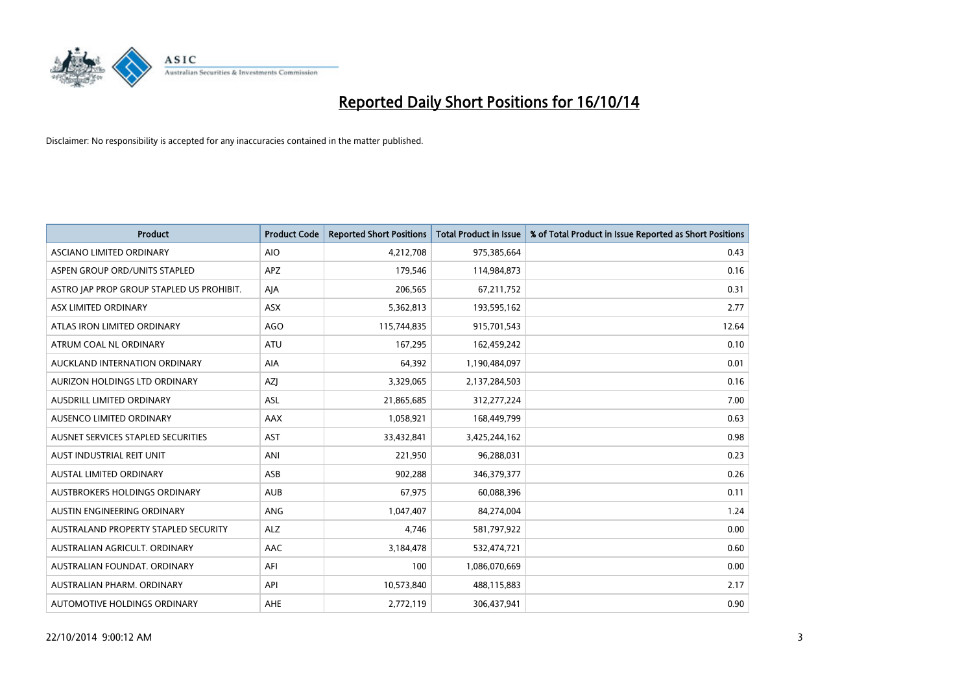

| <b>Product</b>                            | <b>Product Code</b> | <b>Reported Short Positions</b> | <b>Total Product in Issue</b> | % of Total Product in Issue Reported as Short Positions |
|-------------------------------------------|---------------------|---------------------------------|-------------------------------|---------------------------------------------------------|
| ASCIANO LIMITED ORDINARY                  | <b>AIO</b>          | 4,212,708                       | 975,385,664                   | 0.43                                                    |
| ASPEN GROUP ORD/UNITS STAPLED             | APZ                 | 179,546                         | 114,984,873                   | 0.16                                                    |
| ASTRO JAP PROP GROUP STAPLED US PROHIBIT. | AJA                 | 206,565                         | 67,211,752                    | 0.31                                                    |
| ASX LIMITED ORDINARY                      | <b>ASX</b>          | 5,362,813                       | 193,595,162                   | 2.77                                                    |
| ATLAS IRON LIMITED ORDINARY               | <b>AGO</b>          | 115,744,835                     | 915,701,543                   | 12.64                                                   |
| ATRUM COAL NL ORDINARY                    | <b>ATU</b>          | 167,295                         | 162,459,242                   | 0.10                                                    |
| AUCKLAND INTERNATION ORDINARY             | AIA                 | 64,392                          | 1,190,484,097                 | 0.01                                                    |
| AURIZON HOLDINGS LTD ORDINARY             | AZJ                 | 3,329,065                       | 2,137,284,503                 | 0.16                                                    |
| AUSDRILL LIMITED ORDINARY                 | ASL                 | 21,865,685                      | 312,277,224                   | 7.00                                                    |
| AUSENCO LIMITED ORDINARY                  | AAX                 | 1,058,921                       | 168,449,799                   | 0.63                                                    |
| AUSNET SERVICES STAPLED SECURITIES        | AST                 | 33,432,841                      | 3,425,244,162                 | 0.98                                                    |
| AUST INDUSTRIAL REIT UNIT                 | ANI                 | 221,950                         | 96,288,031                    | 0.23                                                    |
| AUSTAL LIMITED ORDINARY                   | ASB                 | 902,288                         | 346,379,377                   | 0.26                                                    |
| AUSTBROKERS HOLDINGS ORDINARY             | <b>AUB</b>          | 67,975                          | 60,088,396                    | 0.11                                                    |
| AUSTIN ENGINEERING ORDINARY               | ANG                 | 1,047,407                       | 84,274,004                    | 1.24                                                    |
| AUSTRALAND PROPERTY STAPLED SECURITY      | <b>ALZ</b>          | 4,746                           | 581,797,922                   | 0.00                                                    |
| AUSTRALIAN AGRICULT, ORDINARY             | AAC                 | 3,184,478                       | 532,474,721                   | 0.60                                                    |
| AUSTRALIAN FOUNDAT, ORDINARY              | AFI                 | 100                             | 1,086,070,669                 | 0.00                                                    |
| AUSTRALIAN PHARM, ORDINARY                | API                 | 10,573,840                      | 488,115,883                   | 2.17                                                    |
| AUTOMOTIVE HOLDINGS ORDINARY              | <b>AHE</b>          | 2,772,119                       | 306,437,941                   | 0.90                                                    |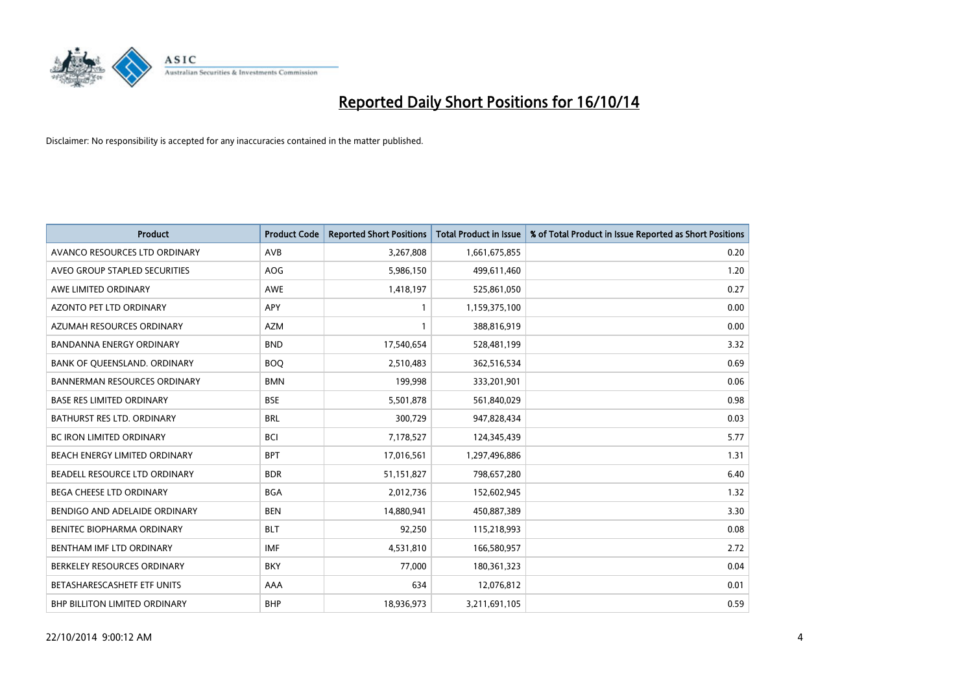

| <b>Product</b>                       | <b>Product Code</b> | <b>Reported Short Positions</b> | <b>Total Product in Issue</b> | % of Total Product in Issue Reported as Short Positions |
|--------------------------------------|---------------------|---------------------------------|-------------------------------|---------------------------------------------------------|
| AVANCO RESOURCES LTD ORDINARY        | AVB                 | 3,267,808                       | 1,661,675,855                 | 0.20                                                    |
| AVEO GROUP STAPLED SECURITIES        | AOG                 | 5,986,150                       | 499,611,460                   | 1.20                                                    |
| AWE LIMITED ORDINARY                 | <b>AWE</b>          | 1,418,197                       | 525,861,050                   | 0.27                                                    |
| AZONTO PET LTD ORDINARY              | APY                 | 1                               | 1,159,375,100                 | 0.00                                                    |
| AZUMAH RESOURCES ORDINARY            | <b>AZM</b>          | 1                               | 388,816,919                   | 0.00                                                    |
| <b>BANDANNA ENERGY ORDINARY</b>      | <b>BND</b>          | 17,540,654                      | 528,481,199                   | 3.32                                                    |
| BANK OF QUEENSLAND. ORDINARY         | <b>BOO</b>          | 2,510,483                       | 362,516,534                   | 0.69                                                    |
| <b>BANNERMAN RESOURCES ORDINARY</b>  | <b>BMN</b>          | 199,998                         | 333,201,901                   | 0.06                                                    |
| <b>BASE RES LIMITED ORDINARY</b>     | <b>BSE</b>          | 5,501,878                       | 561,840,029                   | 0.98                                                    |
| <b>BATHURST RES LTD. ORDINARY</b>    | <b>BRL</b>          | 300,729                         | 947,828,434                   | 0.03                                                    |
| <b>BC IRON LIMITED ORDINARY</b>      | <b>BCI</b>          | 7,178,527                       | 124,345,439                   | 5.77                                                    |
| BEACH ENERGY LIMITED ORDINARY        | <b>BPT</b>          | 17,016,561                      | 1,297,496,886                 | 1.31                                                    |
| BEADELL RESOURCE LTD ORDINARY        | <b>BDR</b>          | 51,151,827                      | 798,657,280                   | 6.40                                                    |
| <b>BEGA CHEESE LTD ORDINARY</b>      | <b>BGA</b>          | 2,012,736                       | 152,602,945                   | 1.32                                                    |
| BENDIGO AND ADELAIDE ORDINARY        | <b>BEN</b>          | 14,880,941                      | 450,887,389                   | 3.30                                                    |
| BENITEC BIOPHARMA ORDINARY           | <b>BLT</b>          | 92,250                          | 115,218,993                   | 0.08                                                    |
| BENTHAM IMF LTD ORDINARY             | <b>IMF</b>          | 4,531,810                       | 166,580,957                   | 2.72                                                    |
| BERKELEY RESOURCES ORDINARY          | <b>BKY</b>          | 77,000                          | 180,361,323                   | 0.04                                                    |
| BETASHARESCASHETF ETF UNITS          | AAA                 | 634                             | 12,076,812                    | 0.01                                                    |
| <b>BHP BILLITON LIMITED ORDINARY</b> | <b>BHP</b>          | 18,936,973                      | 3,211,691,105                 | 0.59                                                    |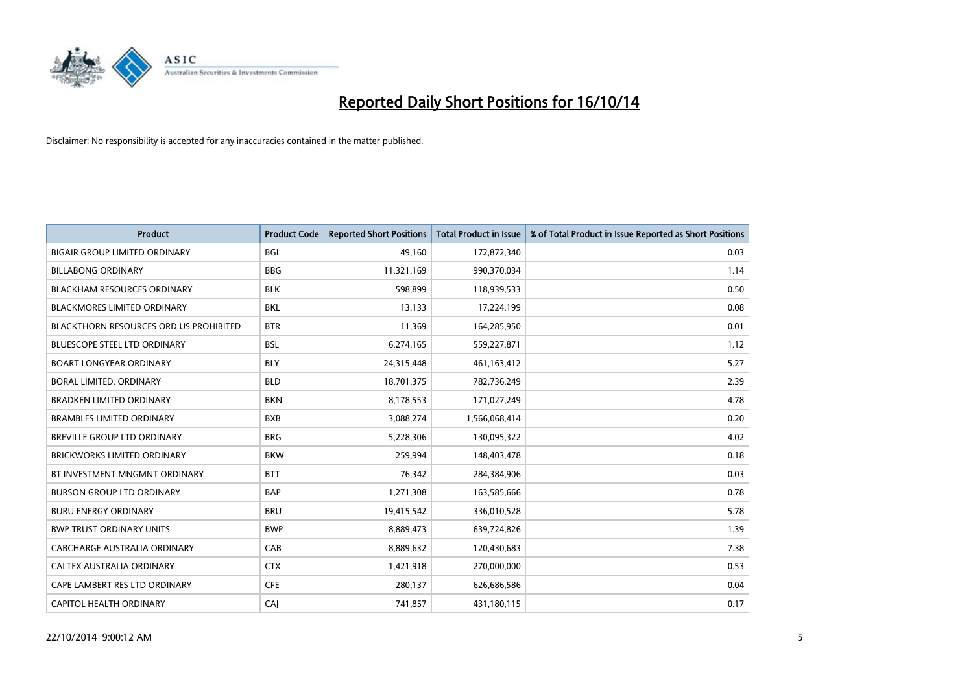

| <b>Product</b>                                | <b>Product Code</b> | <b>Reported Short Positions</b> | <b>Total Product in Issue</b> | % of Total Product in Issue Reported as Short Positions |
|-----------------------------------------------|---------------------|---------------------------------|-------------------------------|---------------------------------------------------------|
| <b>BIGAIR GROUP LIMITED ORDINARY</b>          | <b>BGL</b>          | 49,160                          | 172,872,340                   | 0.03                                                    |
| <b>BILLABONG ORDINARY</b>                     | <b>BBG</b>          | 11,321,169                      | 990,370,034                   | 1.14                                                    |
| <b>BLACKHAM RESOURCES ORDINARY</b>            | <b>BLK</b>          | 598.899                         | 118,939,533                   | 0.50                                                    |
| BLACKMORES LIMITED ORDINARY                   | BKL                 | 13,133                          | 17,224,199                    | 0.08                                                    |
| <b>BLACKTHORN RESOURCES ORD US PROHIBITED</b> | <b>BTR</b>          | 11,369                          | 164,285,950                   | 0.01                                                    |
| <b>BLUESCOPE STEEL LTD ORDINARY</b>           | <b>BSL</b>          | 6,274,165                       | 559,227,871                   | 1.12                                                    |
| <b>BOART LONGYEAR ORDINARY</b>                | <b>BLY</b>          | 24,315,448                      | 461,163,412                   | 5.27                                                    |
| BORAL LIMITED, ORDINARY                       | <b>BLD</b>          | 18,701,375                      | 782,736,249                   | 2.39                                                    |
| <b>BRADKEN LIMITED ORDINARY</b>               | <b>BKN</b>          | 8,178,553                       | 171,027,249                   | 4.78                                                    |
| <b>BRAMBLES LIMITED ORDINARY</b>              | <b>BXB</b>          | 3,088,274                       | 1,566,068,414                 | 0.20                                                    |
| BREVILLE GROUP LTD ORDINARY                   | <b>BRG</b>          | 5,228,306                       | 130,095,322                   | 4.02                                                    |
| <b>BRICKWORKS LIMITED ORDINARY</b>            | <b>BKW</b>          | 259,994                         | 148,403,478                   | 0.18                                                    |
| BT INVESTMENT MNGMNT ORDINARY                 | <b>BTT</b>          | 76,342                          | 284,384,906                   | 0.03                                                    |
| <b>BURSON GROUP LTD ORDINARY</b>              | <b>BAP</b>          | 1,271,308                       | 163,585,666                   | 0.78                                                    |
| <b>BURU ENERGY ORDINARY</b>                   | <b>BRU</b>          | 19,415,542                      | 336,010,528                   | 5.78                                                    |
| <b>BWP TRUST ORDINARY UNITS</b>               | <b>BWP</b>          | 8,889,473                       | 639,724,826                   | 1.39                                                    |
| CABCHARGE AUSTRALIA ORDINARY                  | CAB                 | 8,889,632                       | 120,430,683                   | 7.38                                                    |
| CALTEX AUSTRALIA ORDINARY                     | <b>CTX</b>          | 1,421,918                       | 270,000,000                   | 0.53                                                    |
| CAPE LAMBERT RES LTD ORDINARY                 | <b>CFE</b>          | 280,137                         | 626,686,586                   | 0.04                                                    |
| CAPITOL HEALTH ORDINARY                       | CAJ                 | 741,857                         | 431,180,115                   | 0.17                                                    |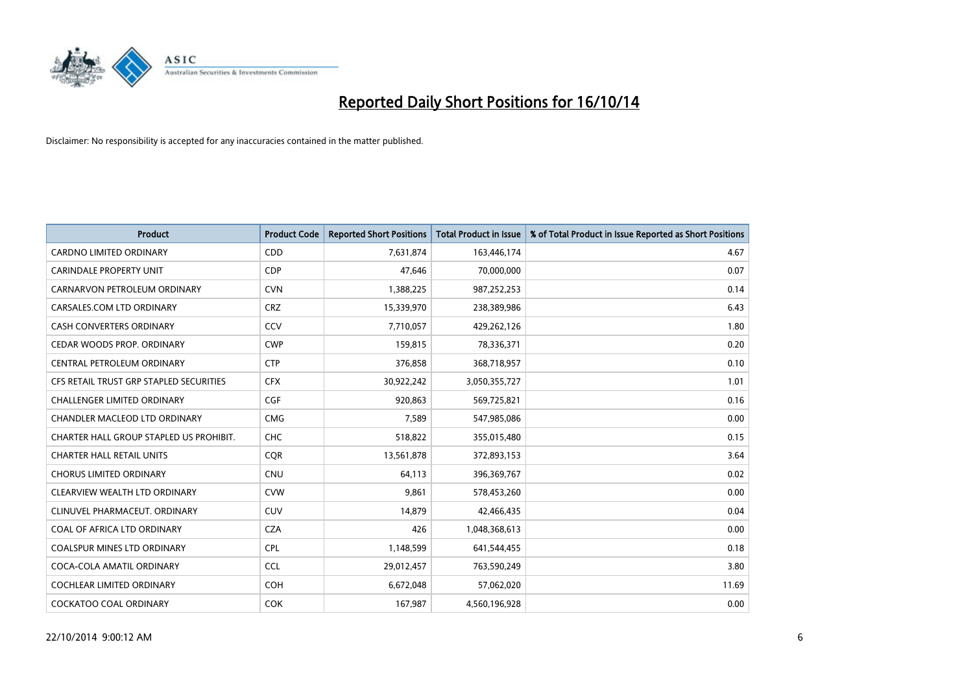

| <b>Product</b>                          | <b>Product Code</b> | <b>Reported Short Positions</b> | <b>Total Product in Issue</b> | % of Total Product in Issue Reported as Short Positions |
|-----------------------------------------|---------------------|---------------------------------|-------------------------------|---------------------------------------------------------|
| <b>CARDNO LIMITED ORDINARY</b>          | CDD                 | 7,631,874                       | 163,446,174                   | 4.67                                                    |
| <b>CARINDALE PROPERTY UNIT</b>          | <b>CDP</b>          | 47,646                          | 70,000,000                    | 0.07                                                    |
| CARNARVON PETROLEUM ORDINARY            | <b>CVN</b>          | 1,388,225                       | 987,252,253                   | 0.14                                                    |
| CARSALES.COM LTD ORDINARY               | <b>CRZ</b>          | 15,339,970                      | 238,389,986                   | 6.43                                                    |
| <b>CASH CONVERTERS ORDINARY</b>         | CCV                 | 7,710,057                       | 429,262,126                   | 1.80                                                    |
| CEDAR WOODS PROP. ORDINARY              | <b>CWP</b>          | 159,815                         | 78,336,371                    | 0.20                                                    |
| CENTRAL PETROLEUM ORDINARY              | <b>CTP</b>          | 376,858                         | 368,718,957                   | 0.10                                                    |
| CFS RETAIL TRUST GRP STAPLED SECURITIES | <b>CFX</b>          | 30,922,242                      | 3,050,355,727                 | 1.01                                                    |
| <b>CHALLENGER LIMITED ORDINARY</b>      | <b>CGF</b>          | 920,863                         | 569,725,821                   | 0.16                                                    |
| CHANDLER MACLEOD LTD ORDINARY           | <b>CMG</b>          | 7,589                           | 547,985,086                   | 0.00                                                    |
| CHARTER HALL GROUP STAPLED US PROHIBIT. | <b>CHC</b>          | 518,822                         | 355,015,480                   | 0.15                                                    |
| <b>CHARTER HALL RETAIL UNITS</b>        | <b>COR</b>          | 13,561,878                      | 372,893,153                   | 3.64                                                    |
| <b>CHORUS LIMITED ORDINARY</b>          | <b>CNU</b>          | 64,113                          | 396,369,767                   | 0.02                                                    |
| CLEARVIEW WEALTH LTD ORDINARY           | <b>CVW</b>          | 9,861                           | 578,453,260                   | 0.00                                                    |
| CLINUVEL PHARMACEUT, ORDINARY           | CUV                 | 14,879                          | 42,466,435                    | 0.04                                                    |
| COAL OF AFRICA LTD ORDINARY             | <b>CZA</b>          | 426                             | 1,048,368,613                 | 0.00                                                    |
| COALSPUR MINES LTD ORDINARY             | <b>CPL</b>          | 1,148,599                       | 641,544,455                   | 0.18                                                    |
| COCA-COLA AMATIL ORDINARY               | <b>CCL</b>          | 29,012,457                      | 763,590,249                   | 3.80                                                    |
| <b>COCHLEAR LIMITED ORDINARY</b>        | <b>COH</b>          | 6,672,048                       | 57,062,020                    | 11.69                                                   |
| COCKATOO COAL ORDINARY                  | <b>COK</b>          | 167,987                         | 4,560,196,928                 | 0.00                                                    |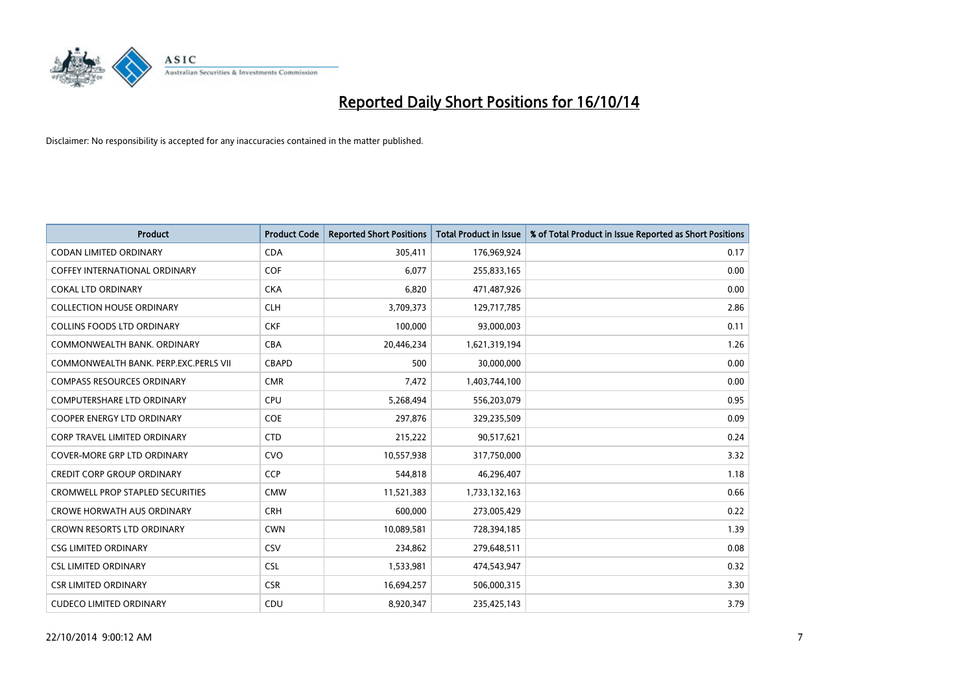

| <b>Product</b>                          | <b>Product Code</b> | <b>Reported Short Positions</b> | <b>Total Product in Issue</b> | % of Total Product in Issue Reported as Short Positions |
|-----------------------------------------|---------------------|---------------------------------|-------------------------------|---------------------------------------------------------|
| <b>CODAN LIMITED ORDINARY</b>           | <b>CDA</b>          | 305,411                         | 176,969,924                   | 0.17                                                    |
| COFFEY INTERNATIONAL ORDINARY           | <b>COF</b>          | 6,077                           | 255,833,165                   | 0.00                                                    |
| <b>COKAL LTD ORDINARY</b>               | <b>CKA</b>          | 6,820                           | 471,487,926                   | 0.00                                                    |
| <b>COLLECTION HOUSE ORDINARY</b>        | <b>CLH</b>          | 3,709,373                       | 129,717,785                   | 2.86                                                    |
| <b>COLLINS FOODS LTD ORDINARY</b>       | <b>CKF</b>          | 100,000                         | 93,000,003                    | 0.11                                                    |
| COMMONWEALTH BANK, ORDINARY             | <b>CBA</b>          | 20,446,234                      | 1,621,319,194                 | 1.26                                                    |
| COMMONWEALTH BANK, PERP.EXC.PERLS VII   | <b>CBAPD</b>        | 500                             | 30,000,000                    | 0.00                                                    |
| <b>COMPASS RESOURCES ORDINARY</b>       | <b>CMR</b>          | 7,472                           | 1,403,744,100                 | 0.00                                                    |
| <b>COMPUTERSHARE LTD ORDINARY</b>       | <b>CPU</b>          | 5,268,494                       | 556,203,079                   | 0.95                                                    |
| <b>COOPER ENERGY LTD ORDINARY</b>       | <b>COE</b>          | 297,876                         | 329,235,509                   | 0.09                                                    |
| <b>CORP TRAVEL LIMITED ORDINARY</b>     | <b>CTD</b>          | 215,222                         | 90,517,621                    | 0.24                                                    |
| <b>COVER-MORE GRP LTD ORDINARY</b>      | <b>CVO</b>          | 10,557,938                      | 317,750,000                   | 3.32                                                    |
| <b>CREDIT CORP GROUP ORDINARY</b>       | <b>CCP</b>          | 544,818                         | 46,296,407                    | 1.18                                                    |
| <b>CROMWELL PROP STAPLED SECURITIES</b> | <b>CMW</b>          | 11,521,383                      | 1,733,132,163                 | 0.66                                                    |
| <b>CROWE HORWATH AUS ORDINARY</b>       | <b>CRH</b>          | 600.000                         | 273,005,429                   | 0.22                                                    |
| <b>CROWN RESORTS LTD ORDINARY</b>       | <b>CWN</b>          | 10,089,581                      | 728,394,185                   | 1.39                                                    |
| <b>CSG LIMITED ORDINARY</b>             | CSV                 | 234,862                         | 279,648,511                   | 0.08                                                    |
| <b>CSL LIMITED ORDINARY</b>             | <b>CSL</b>          | 1,533,981                       | 474,543,947                   | 0.32                                                    |
| <b>CSR LIMITED ORDINARY</b>             | <b>CSR</b>          | 16,694,257                      | 506,000,315                   | 3.30                                                    |
| <b>CUDECO LIMITED ORDINARY</b>          | CDU                 | 8,920,347                       | 235,425,143                   | 3.79                                                    |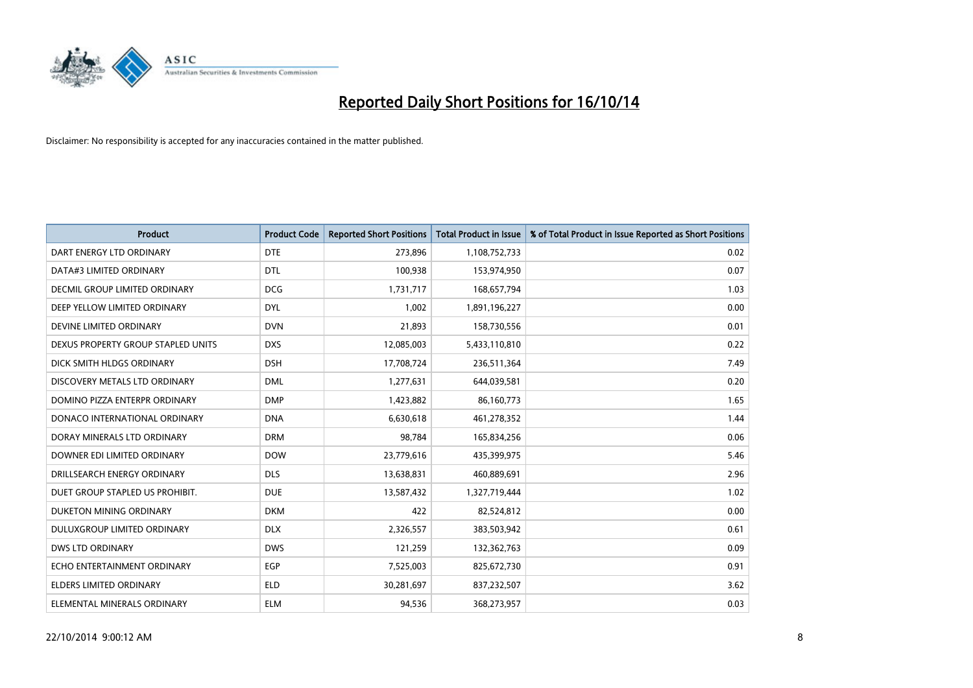

| <b>Product</b>                       | <b>Product Code</b> | <b>Reported Short Positions</b> | <b>Total Product in Issue</b> | % of Total Product in Issue Reported as Short Positions |
|--------------------------------------|---------------------|---------------------------------|-------------------------------|---------------------------------------------------------|
| DART ENERGY LTD ORDINARY             | <b>DTE</b>          | 273,896                         | 1,108,752,733                 | 0.02                                                    |
| DATA#3 LIMITED ORDINARY              | <b>DTL</b>          | 100,938                         | 153,974,950                   | 0.07                                                    |
| <b>DECMIL GROUP LIMITED ORDINARY</b> | <b>DCG</b>          | 1,731,717                       | 168,657,794                   | 1.03                                                    |
| DEEP YELLOW LIMITED ORDINARY         | <b>DYL</b>          | 1,002                           | 1,891,196,227                 | 0.00                                                    |
| DEVINE LIMITED ORDINARY              | <b>DVN</b>          | 21,893                          | 158,730,556                   | 0.01                                                    |
| DEXUS PROPERTY GROUP STAPLED UNITS   | <b>DXS</b>          | 12,085,003                      | 5,433,110,810                 | 0.22                                                    |
| DICK SMITH HLDGS ORDINARY            | <b>DSH</b>          | 17,708,724                      | 236,511,364                   | 7.49                                                    |
| DISCOVERY METALS LTD ORDINARY        | <b>DML</b>          | 1,277,631                       | 644,039,581                   | 0.20                                                    |
| DOMINO PIZZA ENTERPR ORDINARY        | <b>DMP</b>          | 1,423,882                       | 86,160,773                    | 1.65                                                    |
| DONACO INTERNATIONAL ORDINARY        | <b>DNA</b>          | 6,630,618                       | 461,278,352                   | 1.44                                                    |
| DORAY MINERALS LTD ORDINARY          | <b>DRM</b>          | 98,784                          | 165,834,256                   | 0.06                                                    |
| DOWNER EDI LIMITED ORDINARY          | <b>DOW</b>          | 23,779,616                      | 435,399,975                   | 5.46                                                    |
| DRILLSEARCH ENERGY ORDINARY          | <b>DLS</b>          | 13,638,831                      | 460,889,691                   | 2.96                                                    |
| DUET GROUP STAPLED US PROHIBIT.      | <b>DUE</b>          | 13,587,432                      | 1,327,719,444                 | 1.02                                                    |
| DUKETON MINING ORDINARY              | <b>DKM</b>          | 422                             | 82,524,812                    | 0.00                                                    |
| DULUXGROUP LIMITED ORDINARY          | <b>DLX</b>          | 2,326,557                       | 383,503,942                   | 0.61                                                    |
| DWS LTD ORDINARY                     | <b>DWS</b>          | 121,259                         | 132,362,763                   | 0.09                                                    |
| ECHO ENTERTAINMENT ORDINARY          | <b>EGP</b>          | 7,525,003                       | 825,672,730                   | 0.91                                                    |
| <b>ELDERS LIMITED ORDINARY</b>       | <b>ELD</b>          | 30,281,697                      | 837,232,507                   | 3.62                                                    |
| ELEMENTAL MINERALS ORDINARY          | <b>ELM</b>          | 94,536                          | 368,273,957                   | 0.03                                                    |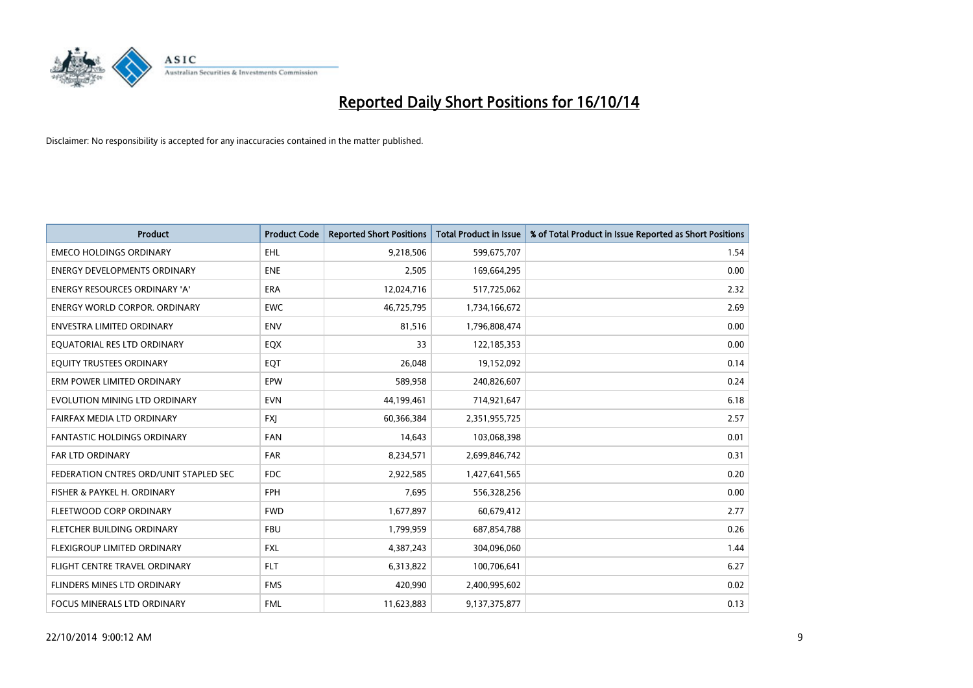

| <b>Product</b>                         | <b>Product Code</b> | <b>Reported Short Positions</b> | <b>Total Product in Issue</b> | % of Total Product in Issue Reported as Short Positions |
|----------------------------------------|---------------------|---------------------------------|-------------------------------|---------------------------------------------------------|
| <b>EMECO HOLDINGS ORDINARY</b>         | <b>EHL</b>          | 9,218,506                       | 599,675,707                   | 1.54                                                    |
| <b>ENERGY DEVELOPMENTS ORDINARY</b>    | <b>ENE</b>          | 2,505                           | 169,664,295                   | 0.00                                                    |
| <b>ENERGY RESOURCES ORDINARY 'A'</b>   | <b>ERA</b>          | 12,024,716                      | 517,725,062                   | 2.32                                                    |
| ENERGY WORLD CORPOR. ORDINARY          | <b>EWC</b>          | 46,725,795                      | 1,734,166,672                 | 2.69                                                    |
| <b>ENVESTRA LIMITED ORDINARY</b>       | <b>ENV</b>          | 81,516                          | 1,796,808,474                 | 0.00                                                    |
| EQUATORIAL RES LTD ORDINARY            | EQX                 | 33                              | 122,185,353                   | 0.00                                                    |
| EQUITY TRUSTEES ORDINARY               | EQT                 | 26,048                          | 19,152,092                    | 0.14                                                    |
| ERM POWER LIMITED ORDINARY             | EPW                 | 589,958                         | 240,826,607                   | 0.24                                                    |
| EVOLUTION MINING LTD ORDINARY          | <b>EVN</b>          | 44,199,461                      | 714,921,647                   | 6.18                                                    |
| FAIRFAX MEDIA LTD ORDINARY             | <b>FXI</b>          | 60,366,384                      | 2,351,955,725                 | 2.57                                                    |
| <b>FANTASTIC HOLDINGS ORDINARY</b>     | <b>FAN</b>          | 14,643                          | 103,068,398                   | 0.01                                                    |
| <b>FAR LTD ORDINARY</b>                | <b>FAR</b>          | 8,234,571                       | 2,699,846,742                 | 0.31                                                    |
| FEDERATION CNTRES ORD/UNIT STAPLED SEC | <b>FDC</b>          | 2,922,585                       | 1,427,641,565                 | 0.20                                                    |
| FISHER & PAYKEL H. ORDINARY            | <b>FPH</b>          | 7,695                           | 556,328,256                   | 0.00                                                    |
| FLEETWOOD CORP ORDINARY                | <b>FWD</b>          | 1,677,897                       | 60,679,412                    | 2.77                                                    |
| FLETCHER BUILDING ORDINARY             | <b>FBU</b>          | 1,799,959                       | 687,854,788                   | 0.26                                                    |
| FLEXIGROUP LIMITED ORDINARY            | FXL                 | 4,387,243                       | 304,096,060                   | 1.44                                                    |
| FLIGHT CENTRE TRAVEL ORDINARY          | <b>FLT</b>          | 6,313,822                       | 100,706,641                   | 6.27                                                    |
| FLINDERS MINES LTD ORDINARY            | <b>FMS</b>          | 420,990                         | 2,400,995,602                 | 0.02                                                    |
| FOCUS MINERALS LTD ORDINARY            | <b>FML</b>          | 11,623,883                      | 9,137,375,877                 | 0.13                                                    |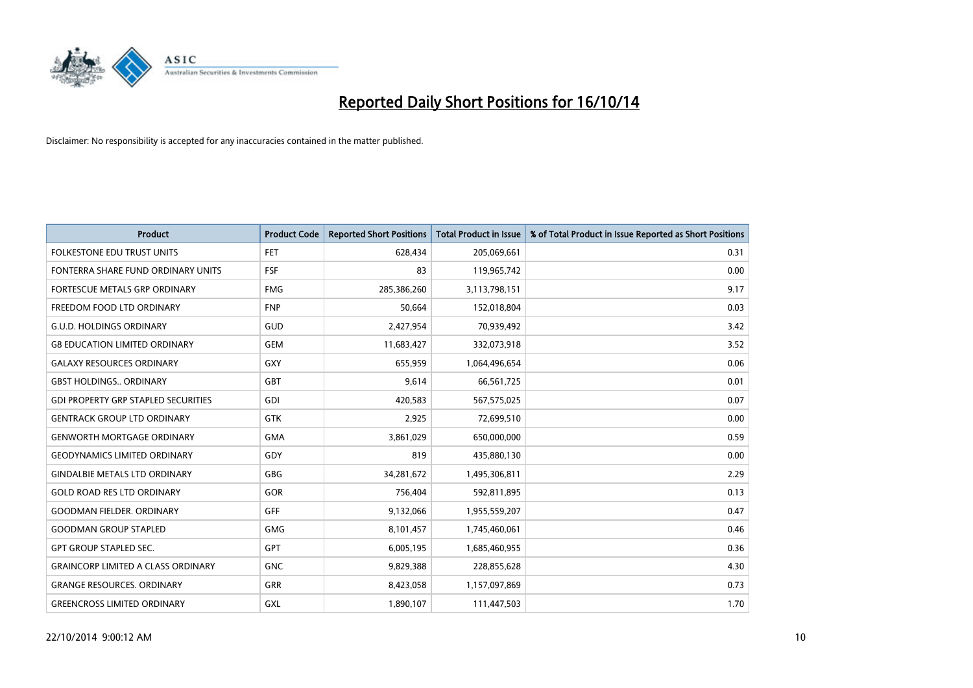

| <b>Product</b>                             | <b>Product Code</b> | <b>Reported Short Positions</b> | <b>Total Product in Issue</b> | % of Total Product in Issue Reported as Short Positions |
|--------------------------------------------|---------------------|---------------------------------|-------------------------------|---------------------------------------------------------|
| <b>FOLKESTONE EDU TRUST UNITS</b>          | <b>FET</b>          | 628,434                         | 205,069,661                   | 0.31                                                    |
| FONTERRA SHARE FUND ORDINARY UNITS         | FSF                 | 83                              | 119,965,742                   | 0.00                                                    |
| <b>FORTESCUE METALS GRP ORDINARY</b>       | <b>FMG</b>          | 285,386,260                     | 3,113,798,151                 | 9.17                                                    |
| FREEDOM FOOD LTD ORDINARY                  | <b>FNP</b>          | 50,664                          | 152,018,804                   | 0.03                                                    |
| <b>G.U.D. HOLDINGS ORDINARY</b>            | GUD                 | 2,427,954                       | 70,939,492                    | 3.42                                                    |
| <b>G8 EDUCATION LIMITED ORDINARY</b>       | <b>GEM</b>          | 11,683,427                      | 332,073,918                   | 3.52                                                    |
| <b>GALAXY RESOURCES ORDINARY</b>           | <b>GXY</b>          | 655,959                         | 1,064,496,654                 | 0.06                                                    |
| <b>GBST HOLDINGS ORDINARY</b>              | <b>GBT</b>          | 9,614                           | 66,561,725                    | 0.01                                                    |
| <b>GDI PROPERTY GRP STAPLED SECURITIES</b> | GDI                 | 420,583                         | 567,575,025                   | 0.07                                                    |
| <b>GENTRACK GROUP LTD ORDINARY</b>         | <b>GTK</b>          | 2,925                           | 72,699,510                    | 0.00                                                    |
| <b>GENWORTH MORTGAGE ORDINARY</b>          | <b>GMA</b>          | 3,861,029                       | 650,000,000                   | 0.59                                                    |
| <b>GEODYNAMICS LIMITED ORDINARY</b>        | GDY                 | 819                             | 435,880,130                   | 0.00                                                    |
| <b>GINDALBIE METALS LTD ORDINARY</b>       | GBG                 | 34,281,672                      | 1,495,306,811                 | 2.29                                                    |
| <b>GOLD ROAD RES LTD ORDINARY</b>          | GOR                 | 756,404                         | 592,811,895                   | 0.13                                                    |
| <b>GOODMAN FIELDER, ORDINARY</b>           | <b>GFF</b>          | 9,132,066                       | 1,955,559,207                 | 0.47                                                    |
| <b>GOODMAN GROUP STAPLED</b>               | <b>GMG</b>          | 8,101,457                       | 1,745,460,061                 | 0.46                                                    |
| <b>GPT GROUP STAPLED SEC.</b>              | GPT                 | 6,005,195                       | 1,685,460,955                 | 0.36                                                    |
| <b>GRAINCORP LIMITED A CLASS ORDINARY</b>  | <b>GNC</b>          | 9,829,388                       | 228,855,628                   | 4.30                                                    |
| <b>GRANGE RESOURCES, ORDINARY</b>          | <b>GRR</b>          | 8,423,058                       | 1,157,097,869                 | 0.73                                                    |
| <b>GREENCROSS LIMITED ORDINARY</b>         | GXL                 | 1,890,107                       | 111,447,503                   | 1.70                                                    |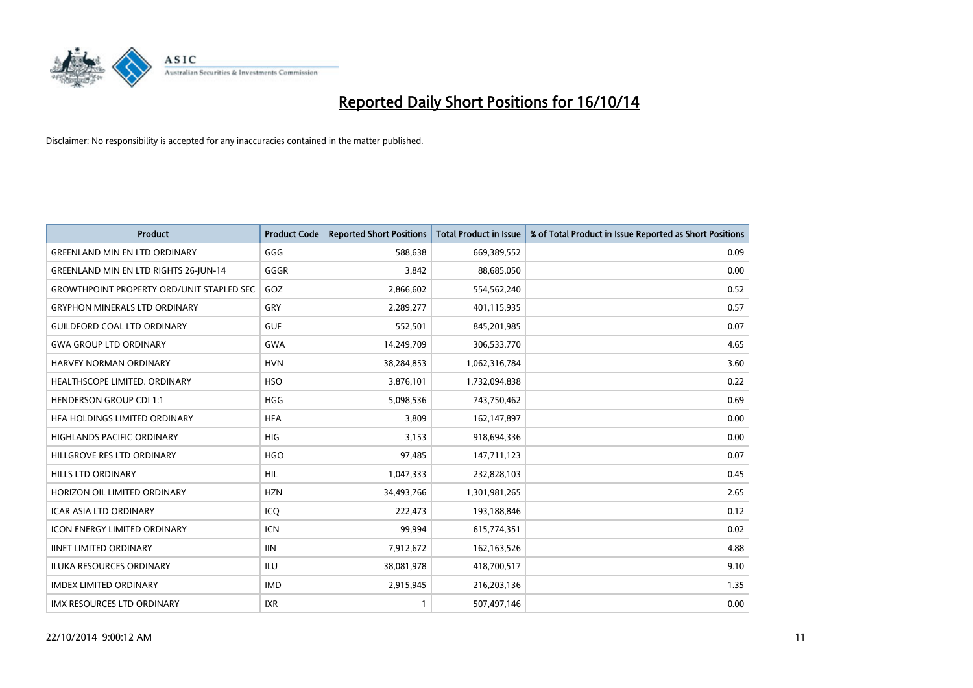

| <b>Product</b>                                   | <b>Product Code</b> | <b>Reported Short Positions</b> | <b>Total Product in Issue</b> | % of Total Product in Issue Reported as Short Positions |
|--------------------------------------------------|---------------------|---------------------------------|-------------------------------|---------------------------------------------------------|
| <b>GREENLAND MIN EN LTD ORDINARY</b>             | GGG                 | 588.638                         | 669,389,552                   | 0.09                                                    |
| <b>GREENLAND MIN EN LTD RIGHTS 26-JUN-14</b>     | GGGR                | 3,842                           | 88,685,050                    | 0.00                                                    |
| <b>GROWTHPOINT PROPERTY ORD/UNIT STAPLED SEC</b> | GOZ                 | 2,866,602                       | 554,562,240                   | 0.52                                                    |
| <b>GRYPHON MINERALS LTD ORDINARY</b>             | GRY                 | 2,289,277                       | 401,115,935                   | 0.57                                                    |
| <b>GUILDFORD COAL LTD ORDINARY</b>               | <b>GUF</b>          | 552,501                         | 845,201,985                   | 0.07                                                    |
| <b>GWA GROUP LTD ORDINARY</b>                    | <b>GWA</b>          | 14,249,709                      | 306,533,770                   | 4.65                                                    |
| HARVEY NORMAN ORDINARY                           | <b>HVN</b>          | 38,284,853                      | 1,062,316,784                 | 3.60                                                    |
| HEALTHSCOPE LIMITED. ORDINARY                    | <b>HSO</b>          | 3,876,101                       | 1,732,094,838                 | 0.22                                                    |
| <b>HENDERSON GROUP CDI 1:1</b>                   | <b>HGG</b>          | 5,098,536                       | 743,750,462                   | 0.69                                                    |
| HFA HOLDINGS LIMITED ORDINARY                    | <b>HFA</b>          | 3,809                           | 162,147,897                   | 0.00                                                    |
| <b>HIGHLANDS PACIFIC ORDINARY</b>                | <b>HIG</b>          | 3,153                           | 918,694,336                   | 0.00                                                    |
| HILLGROVE RES LTD ORDINARY                       | <b>HGO</b>          | 97,485                          | 147,711,123                   | 0.07                                                    |
| <b>HILLS LTD ORDINARY</b>                        | <b>HIL</b>          | 1,047,333                       | 232,828,103                   | 0.45                                                    |
| HORIZON OIL LIMITED ORDINARY                     | <b>HZN</b>          | 34,493,766                      | 1,301,981,265                 | 2.65                                                    |
| <b>ICAR ASIA LTD ORDINARY</b>                    | ICQ                 | 222,473                         | 193,188,846                   | 0.12                                                    |
| <b>ICON ENERGY LIMITED ORDINARY</b>              | <b>ICN</b>          | 99,994                          | 615,774,351                   | 0.02                                                    |
| <b>IINET LIMITED ORDINARY</b>                    | <b>IIN</b>          | 7,912,672                       | 162,163,526                   | 4.88                                                    |
| ILUKA RESOURCES ORDINARY                         | <b>ILU</b>          | 38,081,978                      | 418,700,517                   | 9.10                                                    |
| <b>IMDEX LIMITED ORDINARY</b>                    | <b>IMD</b>          | 2,915,945                       | 216,203,136                   | 1.35                                                    |
| IMX RESOURCES LTD ORDINARY                       | <b>IXR</b>          | $\mathbf{1}$                    | 507,497,146                   | 0.00                                                    |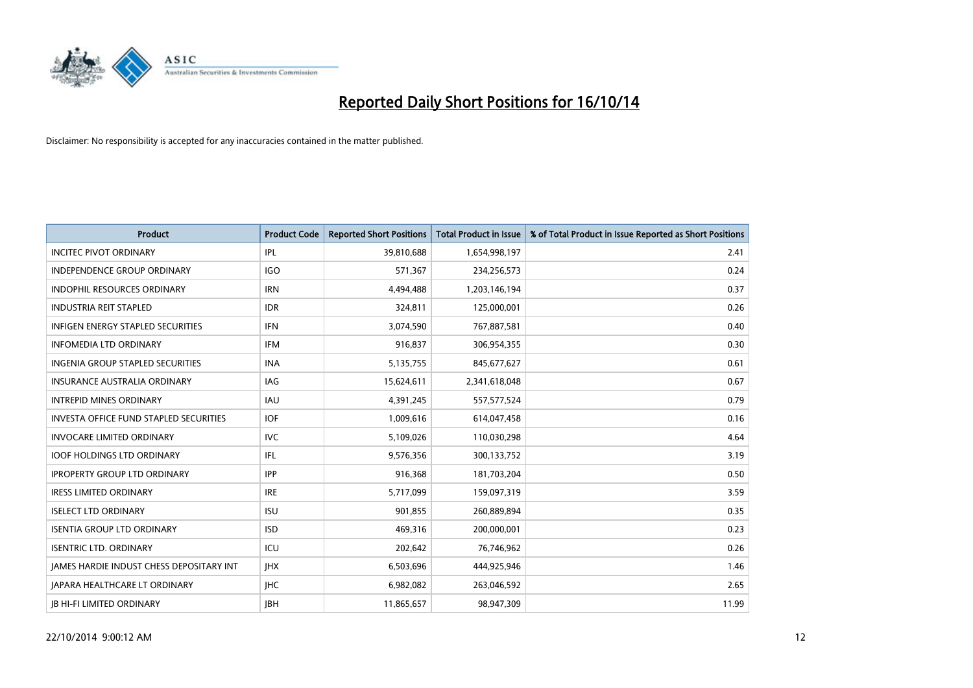

| <b>Product</b>                                | <b>Product Code</b> | <b>Reported Short Positions</b> | <b>Total Product in Issue</b> | % of Total Product in Issue Reported as Short Positions |
|-----------------------------------------------|---------------------|---------------------------------|-------------------------------|---------------------------------------------------------|
| <b>INCITEC PIVOT ORDINARY</b>                 | IPL                 | 39,810,688                      | 1,654,998,197                 | 2.41                                                    |
| INDEPENDENCE GROUP ORDINARY                   | <b>IGO</b>          | 571,367                         | 234,256,573                   | 0.24                                                    |
| <b>INDOPHIL RESOURCES ORDINARY</b>            | <b>IRN</b>          | 4,494,488                       | 1,203,146,194                 | 0.37                                                    |
| <b>INDUSTRIA REIT STAPLED</b>                 | <b>IDR</b>          | 324,811                         | 125,000,001                   | 0.26                                                    |
| <b>INFIGEN ENERGY STAPLED SECURITIES</b>      | <b>IFN</b>          | 3,074,590                       | 767,887,581                   | 0.40                                                    |
| <b>INFOMEDIA LTD ORDINARY</b>                 | <b>IFM</b>          | 916,837                         | 306,954,355                   | 0.30                                                    |
| <b>INGENIA GROUP STAPLED SECURITIES</b>       | <b>INA</b>          | 5,135,755                       | 845,677,627                   | 0.61                                                    |
| <b>INSURANCE AUSTRALIA ORDINARY</b>           | IAG                 | 15,624,611                      | 2,341,618,048                 | 0.67                                                    |
| <b>INTREPID MINES ORDINARY</b>                | <b>IAU</b>          | 4,391,245                       | 557, 577, 524                 | 0.79                                                    |
| <b>INVESTA OFFICE FUND STAPLED SECURITIES</b> | <b>IOF</b>          | 1,009,616                       | 614,047,458                   | 0.16                                                    |
| <b>INVOCARE LIMITED ORDINARY</b>              | <b>IVC</b>          | 5,109,026                       | 110,030,298                   | 4.64                                                    |
| <b>IOOF HOLDINGS LTD ORDINARY</b>             | IFL                 | 9,576,356                       | 300,133,752                   | 3.19                                                    |
| <b>IPROPERTY GROUP LTD ORDINARY</b>           | <b>IPP</b>          | 916,368                         | 181,703,204                   | 0.50                                                    |
| <b>IRESS LIMITED ORDINARY</b>                 | <b>IRE</b>          | 5,717,099                       | 159,097,319                   | 3.59                                                    |
| <b>ISELECT LTD ORDINARY</b>                   | <b>ISU</b>          | 901,855                         | 260,889,894                   | 0.35                                                    |
| <b>ISENTIA GROUP LTD ORDINARY</b>             | <b>ISD</b>          | 469,316                         | 200,000,001                   | 0.23                                                    |
| <b>ISENTRIC LTD. ORDINARY</b>                 | ICU                 | 202,642                         | 76,746,962                    | 0.26                                                    |
| JAMES HARDIE INDUST CHESS DEPOSITARY INT      | <b>IHX</b>          | 6,503,696                       | 444,925,946                   | 1.46                                                    |
| <b>IAPARA HEALTHCARE LT ORDINARY</b>          | <b>IHC</b>          | 6,982,082                       | 263,046,592                   | 2.65                                                    |
| <b>IB HI-FI LIMITED ORDINARY</b>              | <b>JBH</b>          | 11,865,657                      | 98,947,309                    | 11.99                                                   |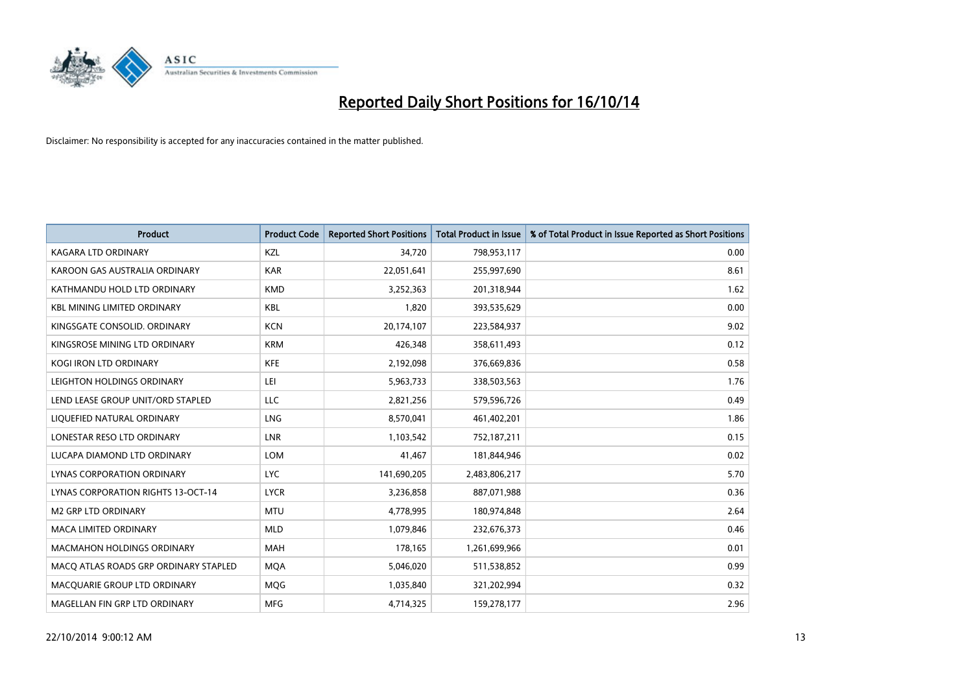

| <b>Product</b>                        | <b>Product Code</b> | <b>Reported Short Positions</b> | <b>Total Product in Issue</b> | % of Total Product in Issue Reported as Short Positions |
|---------------------------------------|---------------------|---------------------------------|-------------------------------|---------------------------------------------------------|
| <b>KAGARA LTD ORDINARY</b>            | KZL                 | 34,720                          | 798,953,117                   | 0.00                                                    |
| KAROON GAS AUSTRALIA ORDINARY         | <b>KAR</b>          | 22,051,641                      | 255,997,690                   | 8.61                                                    |
| KATHMANDU HOLD LTD ORDINARY           | <b>KMD</b>          | 3,252,363                       | 201,318,944                   | 1.62                                                    |
| <b>KBL MINING LIMITED ORDINARY</b>    | <b>KBL</b>          | 1,820                           | 393,535,629                   | 0.00                                                    |
| KINGSGATE CONSOLID. ORDINARY          | <b>KCN</b>          | 20,174,107                      | 223,584,937                   | 9.02                                                    |
| KINGSROSE MINING LTD ORDINARY         | <b>KRM</b>          | 426,348                         | 358,611,493                   | 0.12                                                    |
| KOGI IRON LTD ORDINARY                | <b>KFE</b>          | 2,192,098                       | 376,669,836                   | 0.58                                                    |
| LEIGHTON HOLDINGS ORDINARY            | LEI                 | 5,963,733                       | 338,503,563                   | 1.76                                                    |
| LEND LEASE GROUP UNIT/ORD STAPLED     | <b>LLC</b>          | 2,821,256                       | 579,596,726                   | 0.49                                                    |
| LIQUEFIED NATURAL ORDINARY            | <b>LNG</b>          | 8,570,041                       | 461,402,201                   | 1.86                                                    |
| LONESTAR RESO LTD ORDINARY            | <b>LNR</b>          | 1,103,542                       | 752,187,211                   | 0.15                                                    |
| LUCAPA DIAMOND LTD ORDINARY           | LOM                 | 41,467                          | 181,844,946                   | 0.02                                                    |
| LYNAS CORPORATION ORDINARY            | <b>LYC</b>          | 141,690,205                     | 2,483,806,217                 | 5.70                                                    |
| LYNAS CORPORATION RIGHTS 13-OCT-14    | <b>LYCR</b>         | 3,236,858                       | 887,071,988                   | 0.36                                                    |
| <b>M2 GRP LTD ORDINARY</b>            | <b>MTU</b>          | 4,778,995                       | 180,974,848                   | 2.64                                                    |
| MACA LIMITED ORDINARY                 | <b>MLD</b>          | 1,079,846                       | 232,676,373                   | 0.46                                                    |
| MACMAHON HOLDINGS ORDINARY            | MAH                 | 178,165                         | 1,261,699,966                 | 0.01                                                    |
| MACO ATLAS ROADS GRP ORDINARY STAPLED | <b>MOA</b>          | 5,046,020                       | 511,538,852                   | 0.99                                                    |
| MACQUARIE GROUP LTD ORDINARY          | <b>MOG</b>          | 1,035,840                       | 321,202,994                   | 0.32                                                    |
| MAGELLAN FIN GRP LTD ORDINARY         | <b>MFG</b>          | 4,714,325                       | 159,278,177                   | 2.96                                                    |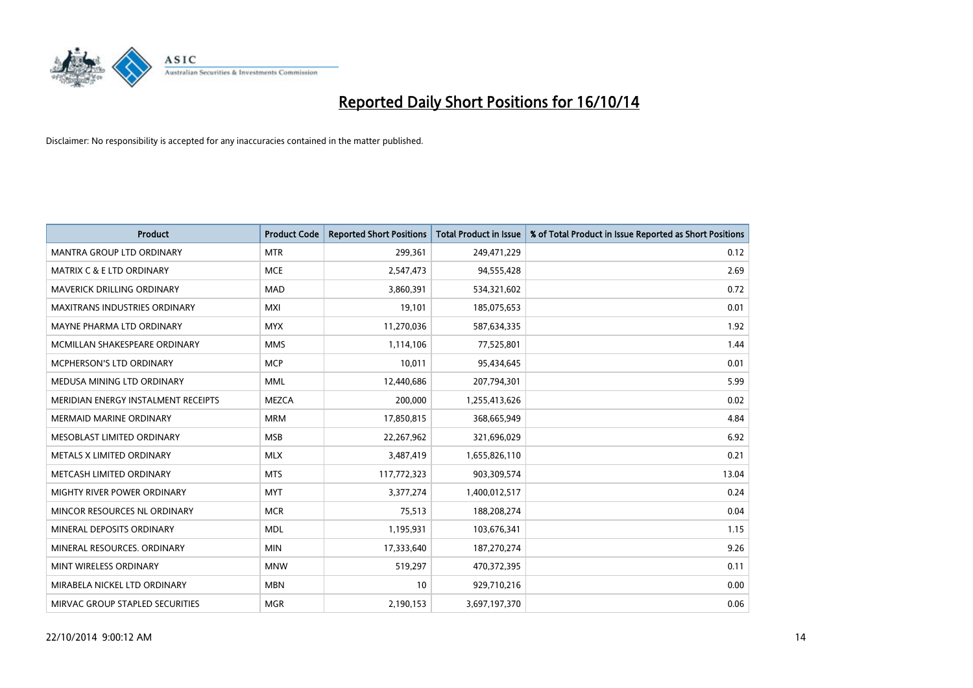

| <b>Product</b>                       | <b>Product Code</b> | <b>Reported Short Positions</b> | <b>Total Product in Issue</b> | % of Total Product in Issue Reported as Short Positions |
|--------------------------------------|---------------------|---------------------------------|-------------------------------|---------------------------------------------------------|
| <b>MANTRA GROUP LTD ORDINARY</b>     | <b>MTR</b>          | 299,361                         | 249,471,229                   | 0.12                                                    |
| <b>MATRIX C &amp; E LTD ORDINARY</b> | <b>MCE</b>          | 2,547,473                       | 94,555,428                    | 2.69                                                    |
| MAVERICK DRILLING ORDINARY           | <b>MAD</b>          | 3,860,391                       | 534,321,602                   | 0.72                                                    |
| <b>MAXITRANS INDUSTRIES ORDINARY</b> | <b>MXI</b>          | 19,101                          | 185,075,653                   | 0.01                                                    |
| MAYNE PHARMA LTD ORDINARY            | <b>MYX</b>          | 11,270,036                      | 587,634,335                   | 1.92                                                    |
| MCMILLAN SHAKESPEARE ORDINARY        | <b>MMS</b>          | 1,114,106                       | 77,525,801                    | 1.44                                                    |
| <b>MCPHERSON'S LTD ORDINARY</b>      | <b>MCP</b>          | 10,011                          | 95,434,645                    | 0.01                                                    |
| MEDUSA MINING LTD ORDINARY           | <b>MML</b>          | 12,440,686                      | 207,794,301                   | 5.99                                                    |
| MERIDIAN ENERGY INSTALMENT RECEIPTS  | <b>MEZCA</b>        | 200,000                         | 1,255,413,626                 | 0.02                                                    |
| <b>MERMAID MARINE ORDINARY</b>       | <b>MRM</b>          | 17,850,815                      | 368,665,949                   | 4.84                                                    |
| MESOBLAST LIMITED ORDINARY           | <b>MSB</b>          | 22,267,962                      | 321,696,029                   | 6.92                                                    |
| METALS X LIMITED ORDINARY            | <b>MLX</b>          | 3,487,419                       | 1,655,826,110                 | 0.21                                                    |
| METCASH LIMITED ORDINARY             | <b>MTS</b>          | 117,772,323                     | 903,309,574                   | 13.04                                                   |
| MIGHTY RIVER POWER ORDINARY          | <b>MYT</b>          | 3,377,274                       | 1,400,012,517                 | 0.24                                                    |
| MINCOR RESOURCES NL ORDINARY         | <b>MCR</b>          | 75,513                          | 188,208,274                   | 0.04                                                    |
| MINERAL DEPOSITS ORDINARY            | <b>MDL</b>          | 1,195,931                       | 103,676,341                   | 1.15                                                    |
| MINERAL RESOURCES. ORDINARY          | <b>MIN</b>          | 17,333,640                      | 187,270,274                   | 9.26                                                    |
| MINT WIRELESS ORDINARY               | <b>MNW</b>          | 519,297                         | 470,372,395                   | 0.11                                                    |
| MIRABELA NICKEL LTD ORDINARY         | <b>MBN</b>          | 10                              | 929,710,216                   | 0.00                                                    |
| MIRVAC GROUP STAPLED SECURITIES      | <b>MGR</b>          | 2,190,153                       | 3,697,197,370                 | 0.06                                                    |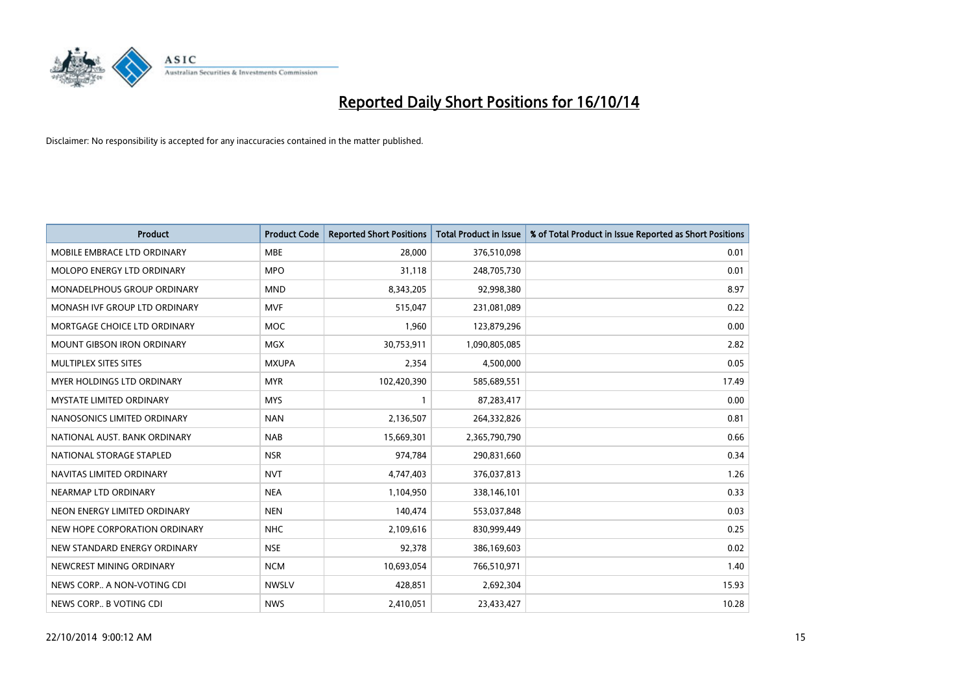

| <b>Product</b>                    | <b>Product Code</b> | <b>Reported Short Positions</b> | <b>Total Product in Issue</b> | % of Total Product in Issue Reported as Short Positions |
|-----------------------------------|---------------------|---------------------------------|-------------------------------|---------------------------------------------------------|
| MOBILE EMBRACE LTD ORDINARY       | <b>MBE</b>          | 28,000                          | 376,510,098                   | 0.01                                                    |
| <b>MOLOPO ENERGY LTD ORDINARY</b> | <b>MPO</b>          | 31,118                          | 248,705,730                   | 0.01                                                    |
| MONADELPHOUS GROUP ORDINARY       | <b>MND</b>          | 8,343,205                       | 92,998,380                    | 8.97                                                    |
| MONASH IVF GROUP LTD ORDINARY     | MVF                 | 515,047                         | 231,081,089                   | 0.22                                                    |
| MORTGAGE CHOICE LTD ORDINARY      | <b>MOC</b>          | 1,960                           | 123,879,296                   | 0.00                                                    |
| MOUNT GIBSON IRON ORDINARY        | MGX                 | 30,753,911                      | 1,090,805,085                 | 2.82                                                    |
| MULTIPLEX SITES SITES             | <b>MXUPA</b>        | 2,354                           | 4,500,000                     | 0.05                                                    |
| <b>MYER HOLDINGS LTD ORDINARY</b> | <b>MYR</b>          | 102,420,390                     | 585,689,551                   | 17.49                                                   |
| <b>MYSTATE LIMITED ORDINARY</b>   | <b>MYS</b>          |                                 | 87,283,417                    | 0.00                                                    |
| NANOSONICS LIMITED ORDINARY       | <b>NAN</b>          | 2,136,507                       | 264,332,826                   | 0.81                                                    |
| NATIONAL AUST. BANK ORDINARY      | <b>NAB</b>          | 15,669,301                      | 2,365,790,790                 | 0.66                                                    |
| NATIONAL STORAGE STAPLED          | <b>NSR</b>          | 974,784                         | 290,831,660                   | 0.34                                                    |
| NAVITAS LIMITED ORDINARY          | <b>NVT</b>          | 4,747,403                       | 376,037,813                   | 1.26                                                    |
| NEARMAP LTD ORDINARY              | <b>NEA</b>          | 1,104,950                       | 338,146,101                   | 0.33                                                    |
| NEON ENERGY LIMITED ORDINARY      | <b>NEN</b>          | 140,474                         | 553,037,848                   | 0.03                                                    |
| NEW HOPE CORPORATION ORDINARY     | <b>NHC</b>          | 2,109,616                       | 830,999,449                   | 0.25                                                    |
| NEW STANDARD ENERGY ORDINARY      | <b>NSE</b>          | 92,378                          | 386,169,603                   | 0.02                                                    |
| NEWCREST MINING ORDINARY          | <b>NCM</b>          | 10,693,054                      | 766,510,971                   | 1.40                                                    |
| NEWS CORP A NON-VOTING CDI        | <b>NWSLV</b>        | 428,851                         | 2,692,304                     | 15.93                                                   |
| NEWS CORP B VOTING CDI            | <b>NWS</b>          | 2,410,051                       | 23,433,427                    | 10.28                                                   |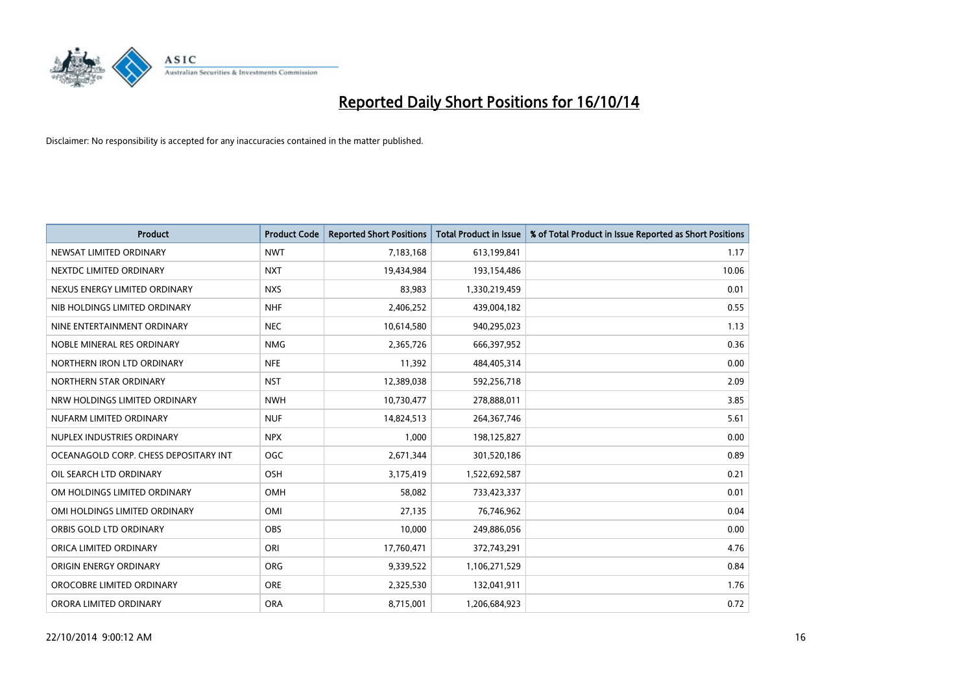

| <b>Product</b>                        | <b>Product Code</b> | <b>Reported Short Positions</b> | <b>Total Product in Issue</b> | % of Total Product in Issue Reported as Short Positions |
|---------------------------------------|---------------------|---------------------------------|-------------------------------|---------------------------------------------------------|
| NEWSAT LIMITED ORDINARY               | <b>NWT</b>          | 7,183,168                       | 613,199,841                   | 1.17                                                    |
| NEXTDC LIMITED ORDINARY               | <b>NXT</b>          | 19,434,984                      | 193,154,486                   | 10.06                                                   |
| NEXUS ENERGY LIMITED ORDINARY         | <b>NXS</b>          | 83,983                          | 1,330,219,459                 | 0.01                                                    |
| NIB HOLDINGS LIMITED ORDINARY         | <b>NHF</b>          | 2,406,252                       | 439,004,182                   | 0.55                                                    |
| NINE ENTERTAINMENT ORDINARY           | <b>NEC</b>          | 10,614,580                      | 940,295,023                   | 1.13                                                    |
| NOBLE MINERAL RES ORDINARY            | <b>NMG</b>          | 2,365,726                       | 666,397,952                   | 0.36                                                    |
| NORTHERN IRON LTD ORDINARY            | <b>NFE</b>          | 11,392                          | 484,405,314                   | 0.00                                                    |
| NORTHERN STAR ORDINARY                | <b>NST</b>          | 12,389,038                      | 592,256,718                   | 2.09                                                    |
| NRW HOLDINGS LIMITED ORDINARY         | <b>NWH</b>          | 10,730,477                      | 278,888,011                   | 3.85                                                    |
| NUFARM LIMITED ORDINARY               | <b>NUF</b>          | 14,824,513                      | 264, 367, 746                 | 5.61                                                    |
| NUPLEX INDUSTRIES ORDINARY            | <b>NPX</b>          | 1,000                           | 198,125,827                   | 0.00                                                    |
| OCEANAGOLD CORP. CHESS DEPOSITARY INT | <b>OGC</b>          | 2,671,344                       | 301,520,186                   | 0.89                                                    |
| OIL SEARCH LTD ORDINARY               | OSH                 | 3,175,419                       | 1,522,692,587                 | 0.21                                                    |
| OM HOLDINGS LIMITED ORDINARY          | OMH                 | 58,082                          | 733,423,337                   | 0.01                                                    |
| OMI HOLDINGS LIMITED ORDINARY         | OMI                 | 27,135                          | 76,746,962                    | 0.04                                                    |
| ORBIS GOLD LTD ORDINARY               | <b>OBS</b>          | 10,000                          | 249,886,056                   | 0.00                                                    |
| ORICA LIMITED ORDINARY                | ORI                 | 17,760,471                      | 372,743,291                   | 4.76                                                    |
| ORIGIN ENERGY ORDINARY                | <b>ORG</b>          | 9,339,522                       | 1,106,271,529                 | 0.84                                                    |
| OROCOBRE LIMITED ORDINARY             | <b>ORE</b>          | 2,325,530                       | 132,041,911                   | 1.76                                                    |
| ORORA LIMITED ORDINARY                | <b>ORA</b>          | 8,715,001                       | 1,206,684,923                 | 0.72                                                    |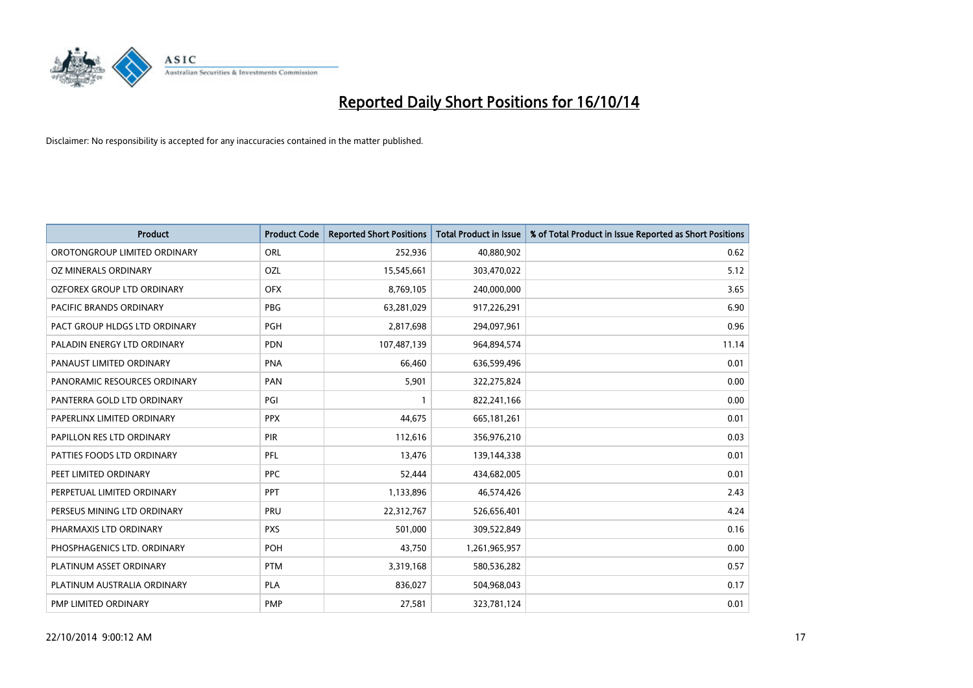

| <b>Product</b>                | <b>Product Code</b> | <b>Reported Short Positions</b> | <b>Total Product in Issue</b> | % of Total Product in Issue Reported as Short Positions |
|-------------------------------|---------------------|---------------------------------|-------------------------------|---------------------------------------------------------|
| OROTONGROUP LIMITED ORDINARY  | ORL                 | 252,936                         | 40,880,902                    | 0.62                                                    |
| OZ MINERALS ORDINARY          | OZL                 | 15,545,661                      | 303,470,022                   | 5.12                                                    |
| OZFOREX GROUP LTD ORDINARY    | <b>OFX</b>          | 8,769,105                       | 240,000,000                   | 3.65                                                    |
| PACIFIC BRANDS ORDINARY       | <b>PBG</b>          | 63,281,029                      | 917,226,291                   | 6.90                                                    |
| PACT GROUP HLDGS LTD ORDINARY | <b>PGH</b>          | 2,817,698                       | 294,097,961                   | 0.96                                                    |
| PALADIN ENERGY LTD ORDINARY   | <b>PDN</b>          | 107,487,139                     | 964,894,574                   | 11.14                                                   |
| PANAUST LIMITED ORDINARY      | <b>PNA</b>          | 66,460                          | 636,599,496                   | 0.01                                                    |
| PANORAMIC RESOURCES ORDINARY  | PAN                 | 5,901                           | 322,275,824                   | 0.00                                                    |
| PANTERRA GOLD LTD ORDINARY    | PGI                 |                                 | 822,241,166                   | 0.00                                                    |
| PAPERLINX LIMITED ORDINARY    | <b>PPX</b>          | 44,675                          | 665, 181, 261                 | 0.01                                                    |
| PAPILLON RES LTD ORDINARY     | PIR                 | 112,616                         | 356,976,210                   | 0.03                                                    |
| PATTIES FOODS LTD ORDINARY    | <b>PFL</b>          | 13,476                          | 139,144,338                   | 0.01                                                    |
| PEET LIMITED ORDINARY         | <b>PPC</b>          | 52,444                          | 434,682,005                   | 0.01                                                    |
| PERPETUAL LIMITED ORDINARY    | <b>PPT</b>          | 1,133,896                       | 46,574,426                    | 2.43                                                    |
| PERSEUS MINING LTD ORDINARY   | PRU                 | 22,312,767                      | 526,656,401                   | 4.24                                                    |
| PHARMAXIS LTD ORDINARY        | <b>PXS</b>          | 501,000                         | 309,522,849                   | 0.16                                                    |
| PHOSPHAGENICS LTD. ORDINARY   | POH                 | 43,750                          | 1,261,965,957                 | 0.00                                                    |
| PLATINUM ASSET ORDINARY       | <b>PTM</b>          | 3,319,168                       | 580,536,282                   | 0.57                                                    |
| PLATINUM AUSTRALIA ORDINARY   | <b>PLA</b>          | 836,027                         | 504,968,043                   | 0.17                                                    |
| PMP LIMITED ORDINARY          | <b>PMP</b>          | 27,581                          | 323,781,124                   | 0.01                                                    |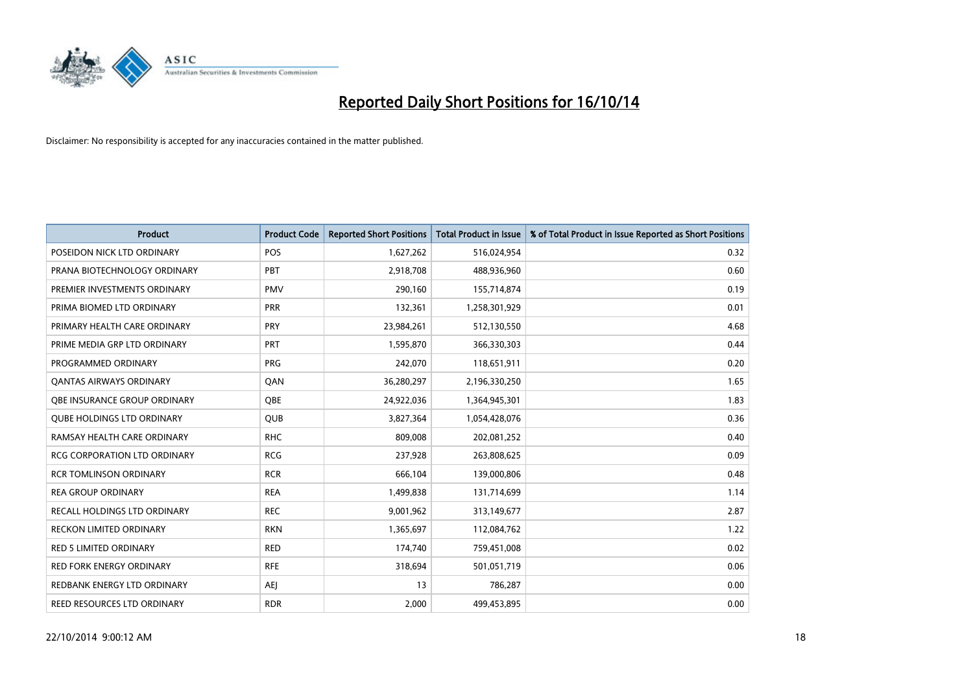

| <b>Product</b>                      | <b>Product Code</b> | <b>Reported Short Positions</b> | <b>Total Product in Issue</b> | % of Total Product in Issue Reported as Short Positions |
|-------------------------------------|---------------------|---------------------------------|-------------------------------|---------------------------------------------------------|
| POSEIDON NICK LTD ORDINARY          | <b>POS</b>          | 1,627,262                       | 516,024,954                   | 0.32                                                    |
| PRANA BIOTECHNOLOGY ORDINARY        | <b>PBT</b>          | 2,918,708                       | 488,936,960                   | 0.60                                                    |
| PREMIER INVESTMENTS ORDINARY        | <b>PMV</b>          | 290,160                         | 155,714,874                   | 0.19                                                    |
| PRIMA BIOMED LTD ORDINARY           | <b>PRR</b>          | 132,361                         | 1,258,301,929                 | 0.01                                                    |
| PRIMARY HEALTH CARE ORDINARY        | PRY                 | 23,984,261                      | 512,130,550                   | 4.68                                                    |
| PRIME MEDIA GRP LTD ORDINARY        | PRT                 | 1,595,870                       | 366,330,303                   | 0.44                                                    |
| PROGRAMMED ORDINARY                 | <b>PRG</b>          | 242,070                         | 118,651,911                   | 0.20                                                    |
| <b>QANTAS AIRWAYS ORDINARY</b>      | QAN                 | 36,280,297                      | 2,196,330,250                 | 1.65                                                    |
| OBE INSURANCE GROUP ORDINARY        | OBE                 | 24,922,036                      | 1,364,945,301                 | 1.83                                                    |
| <b>QUBE HOLDINGS LTD ORDINARY</b>   | <b>QUB</b>          | 3,827,364                       | 1,054,428,076                 | 0.36                                                    |
| RAMSAY HEALTH CARE ORDINARY         | <b>RHC</b>          | 809,008                         | 202,081,252                   | 0.40                                                    |
| <b>RCG CORPORATION LTD ORDINARY</b> | <b>RCG</b>          | 237,928                         | 263,808,625                   | 0.09                                                    |
| <b>RCR TOMLINSON ORDINARY</b>       | <b>RCR</b>          | 666,104                         | 139,000,806                   | 0.48                                                    |
| <b>REA GROUP ORDINARY</b>           | <b>REA</b>          | 1,499,838                       | 131,714,699                   | 1.14                                                    |
| RECALL HOLDINGS LTD ORDINARY        | <b>REC</b>          | 9,001,962                       | 313,149,677                   | 2.87                                                    |
| RECKON LIMITED ORDINARY             | <b>RKN</b>          | 1,365,697                       | 112,084,762                   | 1.22                                                    |
| RED 5 LIMITED ORDINARY              | <b>RED</b>          | 174,740                         | 759,451,008                   | 0.02                                                    |
| RED FORK ENERGY ORDINARY            | <b>RFE</b>          | 318,694                         | 501,051,719                   | 0.06                                                    |
| REDBANK ENERGY LTD ORDINARY         | <b>AEI</b>          | 13                              | 786,287                       | 0.00                                                    |
| REED RESOURCES LTD ORDINARY         | <b>RDR</b>          | 2,000                           | 499,453,895                   | 0.00                                                    |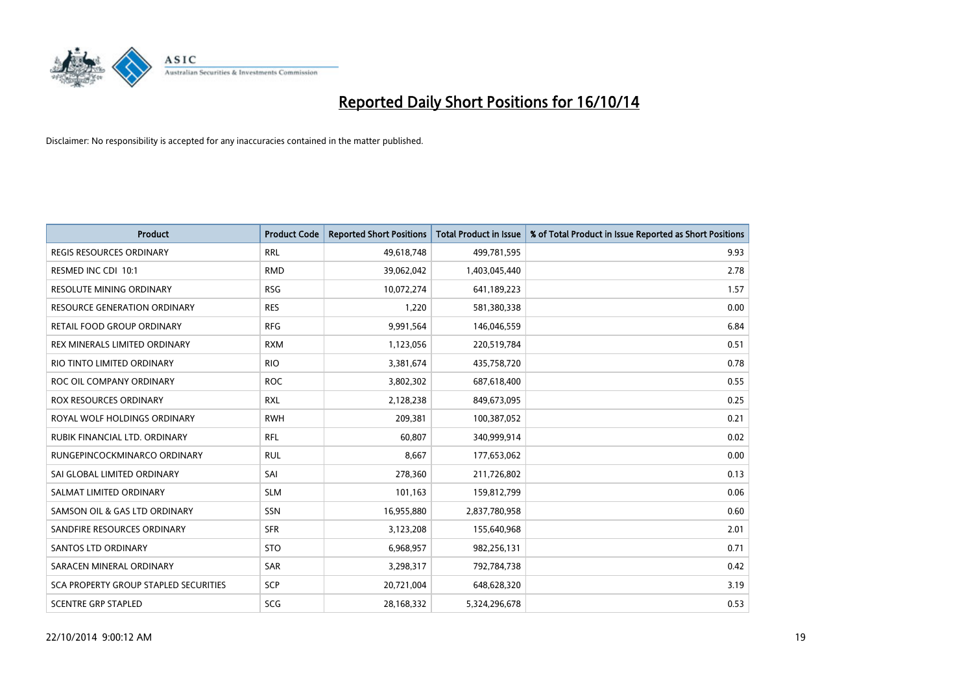

| <b>Product</b>                        | <b>Product Code</b> | <b>Reported Short Positions</b> | <b>Total Product in Issue</b> | % of Total Product in Issue Reported as Short Positions |
|---------------------------------------|---------------------|---------------------------------|-------------------------------|---------------------------------------------------------|
| <b>REGIS RESOURCES ORDINARY</b>       | <b>RRL</b>          | 49,618,748                      | 499,781,595                   | 9.93                                                    |
| RESMED INC CDI 10:1                   | <b>RMD</b>          | 39,062,042                      | 1,403,045,440                 | 2.78                                                    |
| <b>RESOLUTE MINING ORDINARY</b>       | <b>RSG</b>          | 10,072,274                      | 641,189,223                   | 1.57                                                    |
| RESOURCE GENERATION ORDINARY          | <b>RES</b>          | 1,220                           | 581,380,338                   | 0.00                                                    |
| RETAIL FOOD GROUP ORDINARY            | <b>RFG</b>          | 9,991,564                       | 146,046,559                   | 6.84                                                    |
| REX MINERALS LIMITED ORDINARY         | <b>RXM</b>          | 1,123,056                       | 220,519,784                   | 0.51                                                    |
| RIO TINTO LIMITED ORDINARY            | <b>RIO</b>          | 3,381,674                       | 435,758,720                   | 0.78                                                    |
| ROC OIL COMPANY ORDINARY              | <b>ROC</b>          | 3,802,302                       | 687,618,400                   | 0.55                                                    |
| ROX RESOURCES ORDINARY                | <b>RXL</b>          | 2,128,238                       | 849,673,095                   | 0.25                                                    |
| ROYAL WOLF HOLDINGS ORDINARY          | <b>RWH</b>          | 209,381                         | 100,387,052                   | 0.21                                                    |
| RUBIK FINANCIAL LTD. ORDINARY         | RFL                 | 60,807                          | 340,999,914                   | 0.02                                                    |
| RUNGEPINCOCKMINARCO ORDINARY          | <b>RUL</b>          | 8,667                           | 177,653,062                   | 0.00                                                    |
| SAI GLOBAL LIMITED ORDINARY           | SAI                 | 278,360                         | 211,726,802                   | 0.13                                                    |
| SALMAT LIMITED ORDINARY               | <b>SLM</b>          | 101,163                         | 159,812,799                   | 0.06                                                    |
| SAMSON OIL & GAS LTD ORDINARY         | SSN                 | 16,955,880                      | 2,837,780,958                 | 0.60                                                    |
| SANDFIRE RESOURCES ORDINARY           | <b>SFR</b>          | 3,123,208                       | 155,640,968                   | 2.01                                                    |
| <b>SANTOS LTD ORDINARY</b>            | <b>STO</b>          | 6,968,957                       | 982,256,131                   | 0.71                                                    |
| SARACEN MINERAL ORDINARY              | <b>SAR</b>          | 3,298,317                       | 792,784,738                   | 0.42                                                    |
| SCA PROPERTY GROUP STAPLED SECURITIES | SCP                 | 20,721,004                      | 648,628,320                   | 3.19                                                    |
| <b>SCENTRE GRP STAPLED</b>            | <b>SCG</b>          | 28,168,332                      | 5,324,296,678                 | 0.53                                                    |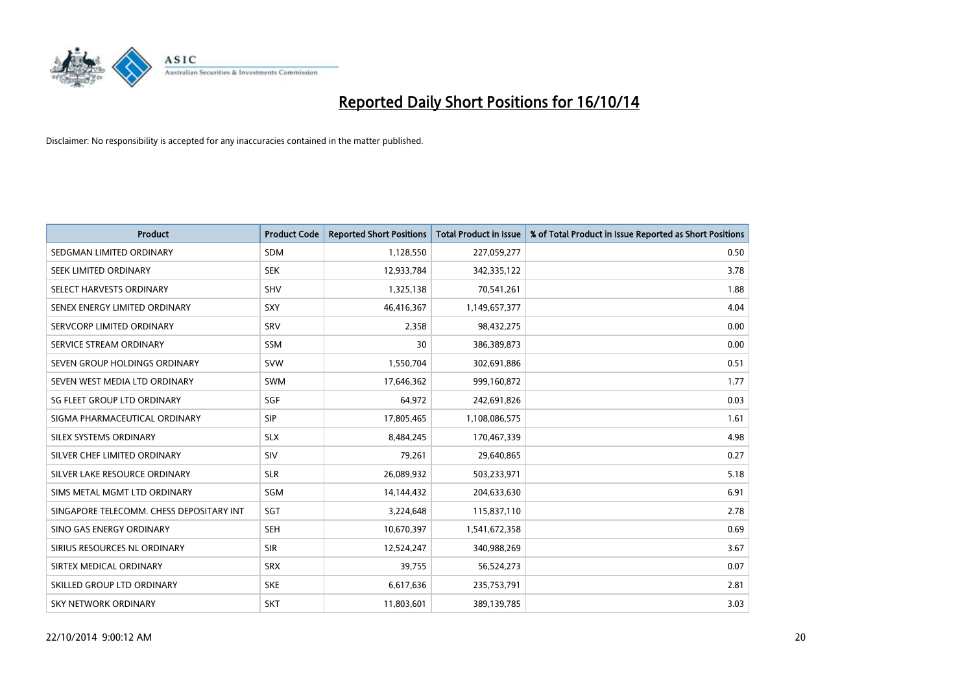

| <b>Product</b>                           | <b>Product Code</b> | <b>Reported Short Positions</b> | <b>Total Product in Issue</b> | % of Total Product in Issue Reported as Short Positions |
|------------------------------------------|---------------------|---------------------------------|-------------------------------|---------------------------------------------------------|
| SEDGMAN LIMITED ORDINARY                 | SDM                 | 1,128,550                       | 227,059,277                   | 0.50                                                    |
| SEEK LIMITED ORDINARY                    | <b>SEK</b>          | 12,933,784                      | 342,335,122                   | 3.78                                                    |
| SELECT HARVESTS ORDINARY                 | <b>SHV</b>          | 1,325,138                       | 70,541,261                    | 1.88                                                    |
| SENEX ENERGY LIMITED ORDINARY            | <b>SXY</b>          | 46,416,367                      | 1,149,657,377                 | 4.04                                                    |
| SERVCORP LIMITED ORDINARY                | SRV                 | 2,358                           | 98,432,275                    | 0.00                                                    |
| SERVICE STREAM ORDINARY                  | <b>SSM</b>          | 30                              | 386,389,873                   | 0.00                                                    |
| SEVEN GROUP HOLDINGS ORDINARY            | <b>SVW</b>          | 1,550,704                       | 302,691,886                   | 0.51                                                    |
| SEVEN WEST MEDIA LTD ORDINARY            | <b>SWM</b>          | 17,646,362                      | 999,160,872                   | 1.77                                                    |
| SG FLEET GROUP LTD ORDINARY              | SGF                 | 64,972                          | 242,691,826                   | 0.03                                                    |
| SIGMA PHARMACEUTICAL ORDINARY            | <b>SIP</b>          | 17,805,465                      | 1,108,086,575                 | 1.61                                                    |
| SILEX SYSTEMS ORDINARY                   | <b>SLX</b>          | 8,484,245                       | 170,467,339                   | 4.98                                                    |
| SILVER CHEF LIMITED ORDINARY             | <b>SIV</b>          | 79,261                          | 29,640,865                    | 0.27                                                    |
| SILVER LAKE RESOURCE ORDINARY            | <b>SLR</b>          | 26,089,932                      | 503,233,971                   | 5.18                                                    |
| SIMS METAL MGMT LTD ORDINARY             | SGM                 | 14,144,432                      | 204,633,630                   | 6.91                                                    |
| SINGAPORE TELECOMM. CHESS DEPOSITARY INT | SGT                 | 3,224,648                       | 115,837,110                   | 2.78                                                    |
| SINO GAS ENERGY ORDINARY                 | <b>SEH</b>          | 10,670,397                      | 1,541,672,358                 | 0.69                                                    |
| SIRIUS RESOURCES NL ORDINARY             | <b>SIR</b>          | 12,524,247                      | 340,988,269                   | 3.67                                                    |
| SIRTEX MEDICAL ORDINARY                  | <b>SRX</b>          | 39,755                          | 56,524,273                    | 0.07                                                    |
| SKILLED GROUP LTD ORDINARY               | <b>SKE</b>          | 6,617,636                       | 235,753,791                   | 2.81                                                    |
| <b>SKY NETWORK ORDINARY</b>              | <b>SKT</b>          | 11,803,601                      | 389,139,785                   | 3.03                                                    |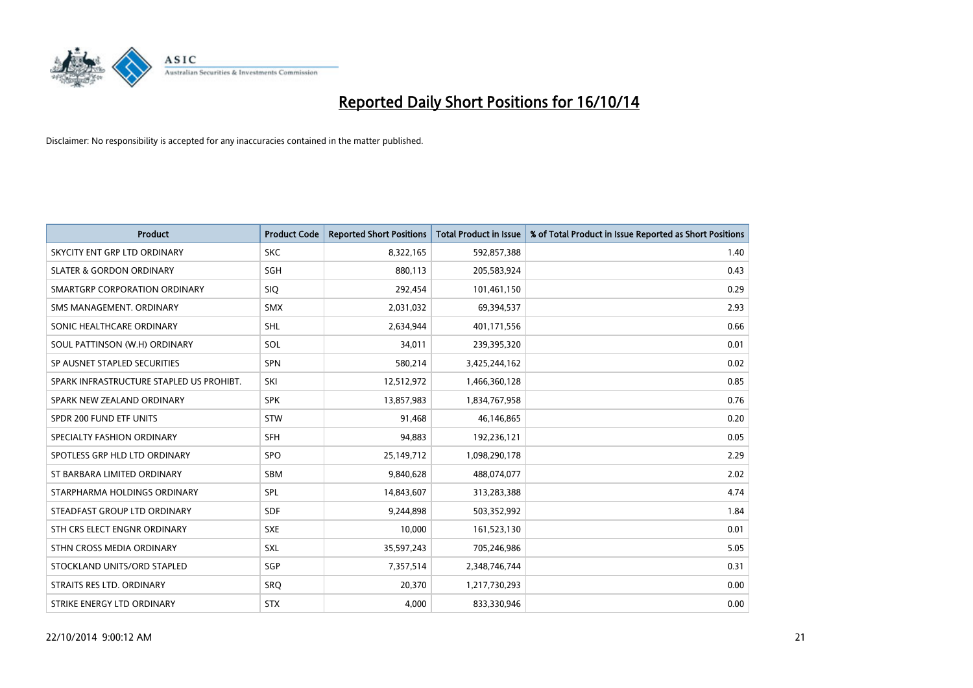

| <b>Product</b>                           | <b>Product Code</b> | <b>Reported Short Positions</b> | <b>Total Product in Issue</b> | % of Total Product in Issue Reported as Short Positions |
|------------------------------------------|---------------------|---------------------------------|-------------------------------|---------------------------------------------------------|
| SKYCITY ENT GRP LTD ORDINARY             | <b>SKC</b>          | 8,322,165                       | 592,857,388                   | 1.40                                                    |
| <b>SLATER &amp; GORDON ORDINARY</b>      | SGH                 | 880,113                         | 205,583,924                   | 0.43                                                    |
| SMARTGRP CORPORATION ORDINARY            | <b>SIQ</b>          | 292,454                         | 101,461,150                   | 0.29                                                    |
| SMS MANAGEMENT, ORDINARY                 | <b>SMX</b>          | 2,031,032                       | 69,394,537                    | 2.93                                                    |
| SONIC HEALTHCARE ORDINARY                | SHL                 | 2,634,944                       | 401,171,556                   | 0.66                                                    |
| SOUL PATTINSON (W.H) ORDINARY            | SOL                 | 34,011                          | 239,395,320                   | 0.01                                                    |
| SP AUSNET STAPLED SECURITIES             | <b>SPN</b>          | 580,214                         | 3,425,244,162                 | 0.02                                                    |
| SPARK INFRASTRUCTURE STAPLED US PROHIBT. | SKI                 | 12,512,972                      | 1,466,360,128                 | 0.85                                                    |
| SPARK NEW ZEALAND ORDINARY               | <b>SPK</b>          | 13,857,983                      | 1,834,767,958                 | 0.76                                                    |
| SPDR 200 FUND ETF UNITS                  | <b>STW</b>          | 91,468                          | 46,146,865                    | 0.20                                                    |
| SPECIALTY FASHION ORDINARY               | <b>SFH</b>          | 94,883                          | 192,236,121                   | 0.05                                                    |
| SPOTLESS GRP HLD LTD ORDINARY            | <b>SPO</b>          | 25,149,712                      | 1,098,290,178                 | 2.29                                                    |
| ST BARBARA LIMITED ORDINARY              | <b>SBM</b>          | 9,840,628                       | 488,074,077                   | 2.02                                                    |
| STARPHARMA HOLDINGS ORDINARY             | SPL                 | 14,843,607                      | 313,283,388                   | 4.74                                                    |
| STEADFAST GROUP LTD ORDINARY             | <b>SDF</b>          | 9,244,898                       | 503,352,992                   | 1.84                                                    |
| STH CRS ELECT ENGNR ORDINARY             | <b>SXE</b>          | 10,000                          | 161,523,130                   | 0.01                                                    |
| STHN CROSS MEDIA ORDINARY                | SXL                 | 35,597,243                      | 705,246,986                   | 5.05                                                    |
| STOCKLAND UNITS/ORD STAPLED              | SGP                 | 7,357,514                       | 2,348,746,744                 | 0.31                                                    |
| STRAITS RES LTD. ORDINARY                | SRO                 | 20,370                          | 1,217,730,293                 | 0.00                                                    |
| STRIKE ENERGY LTD ORDINARY               | <b>STX</b>          | 4,000                           | 833,330,946                   | 0.00                                                    |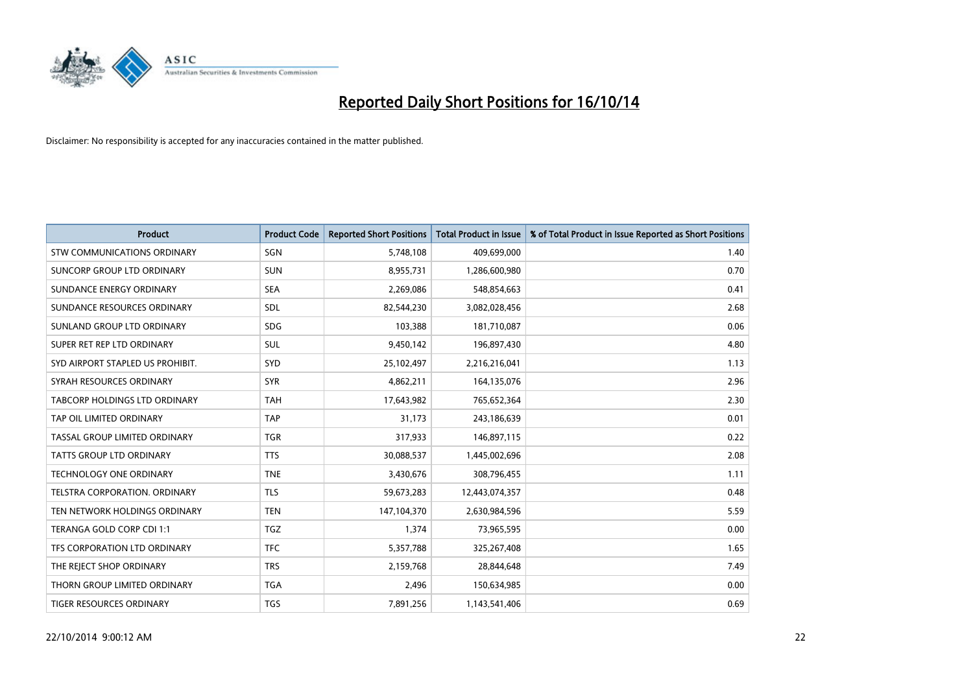

| <b>Product</b>                     | <b>Product Code</b> | <b>Reported Short Positions</b> | <b>Total Product in Issue</b> | % of Total Product in Issue Reported as Short Positions |
|------------------------------------|---------------------|---------------------------------|-------------------------------|---------------------------------------------------------|
| <b>STW COMMUNICATIONS ORDINARY</b> | SGN                 | 5,748,108                       | 409,699,000                   | 1.40                                                    |
| SUNCORP GROUP LTD ORDINARY         | <b>SUN</b>          | 8,955,731                       | 1,286,600,980                 | 0.70                                                    |
| SUNDANCE ENERGY ORDINARY           | <b>SEA</b>          | 2,269,086                       | 548,854,663                   | 0.41                                                    |
| SUNDANCE RESOURCES ORDINARY        | SDL                 | 82,544,230                      | 3,082,028,456                 | 2.68                                                    |
| SUNLAND GROUP LTD ORDINARY         | <b>SDG</b>          | 103,388                         | 181,710,087                   | 0.06                                                    |
| SUPER RET REP LTD ORDINARY         | <b>SUL</b>          | 9,450,142                       | 196,897,430                   | 4.80                                                    |
| SYD AIRPORT STAPLED US PROHIBIT.   | SYD                 | 25,102,497                      | 2,216,216,041                 | 1.13                                                    |
| SYRAH RESOURCES ORDINARY           | <b>SYR</b>          | 4,862,211                       | 164,135,076                   | 2.96                                                    |
| TABCORP HOLDINGS LTD ORDINARY      | <b>TAH</b>          | 17,643,982                      | 765,652,364                   | 2.30                                                    |
| TAP OIL LIMITED ORDINARY           | <b>TAP</b>          | 31,173                          | 243,186,639                   | 0.01                                                    |
| TASSAL GROUP LIMITED ORDINARY      | <b>TGR</b>          | 317,933                         | 146,897,115                   | 0.22                                                    |
| <b>TATTS GROUP LTD ORDINARY</b>    | <b>TTS</b>          | 30,088,537                      | 1,445,002,696                 | 2.08                                                    |
| <b>TECHNOLOGY ONE ORDINARY</b>     | <b>TNE</b>          | 3,430,676                       | 308,796,455                   | 1.11                                                    |
| TELSTRA CORPORATION, ORDINARY      | <b>TLS</b>          | 59,673,283                      | 12,443,074,357                | 0.48                                                    |
| TEN NETWORK HOLDINGS ORDINARY      | <b>TEN</b>          | 147,104,370                     | 2,630,984,596                 | 5.59                                                    |
| TERANGA GOLD CORP CDI 1:1          | <b>TGZ</b>          | 1,374                           | 73,965,595                    | 0.00                                                    |
| TFS CORPORATION LTD ORDINARY       | <b>TFC</b>          | 5,357,788                       | 325,267,408                   | 1.65                                                    |
| THE REJECT SHOP ORDINARY           | <b>TRS</b>          | 2,159,768                       | 28,844,648                    | 7.49                                                    |
| THORN GROUP LIMITED ORDINARY       | <b>TGA</b>          | 2,496                           | 150,634,985                   | 0.00                                                    |
| TIGER RESOURCES ORDINARY           | <b>TGS</b>          | 7,891,256                       | 1,143,541,406                 | 0.69                                                    |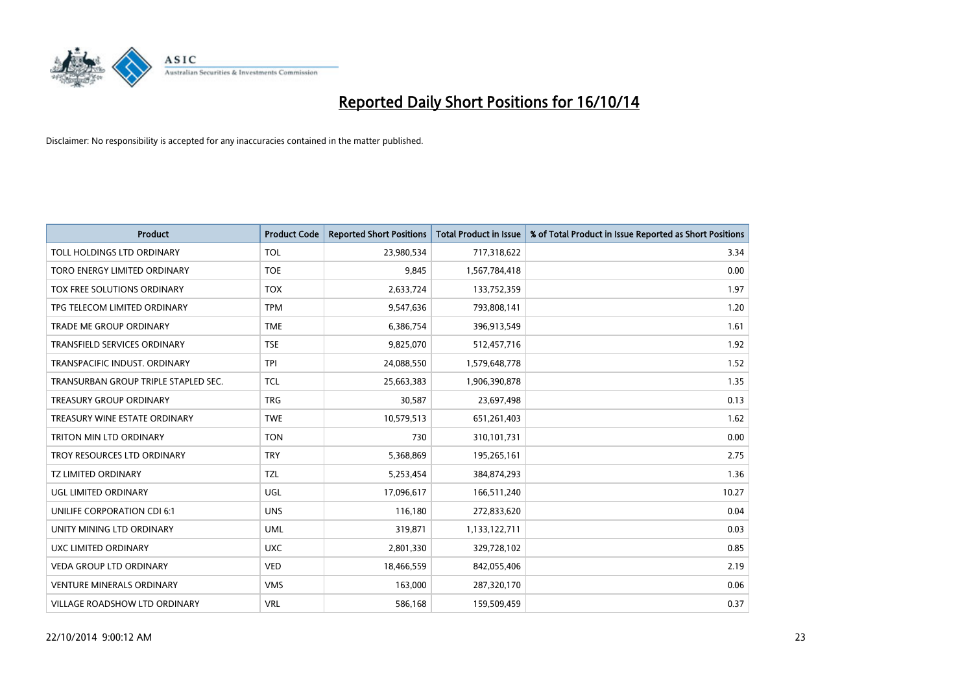

| <b>Product</b>                       | <b>Product Code</b> | <b>Reported Short Positions</b> | <b>Total Product in Issue</b> | % of Total Product in Issue Reported as Short Positions |
|--------------------------------------|---------------------|---------------------------------|-------------------------------|---------------------------------------------------------|
| TOLL HOLDINGS LTD ORDINARY           | <b>TOL</b>          | 23,980,534                      | 717,318,622                   | 3.34                                                    |
| TORO ENERGY LIMITED ORDINARY         | <b>TOE</b>          | 9,845                           | 1,567,784,418                 | 0.00                                                    |
| TOX FREE SOLUTIONS ORDINARY          | <b>TOX</b>          | 2,633,724                       | 133,752,359                   | 1.97                                                    |
| TPG TELECOM LIMITED ORDINARY         | <b>TPM</b>          | 9,547,636                       | 793,808,141                   | 1.20                                                    |
| <b>TRADE ME GROUP ORDINARY</b>       | <b>TME</b>          | 6,386,754                       | 396,913,549                   | 1.61                                                    |
| <b>TRANSFIELD SERVICES ORDINARY</b>  | <b>TSE</b>          | 9,825,070                       | 512,457,716                   | 1.92                                                    |
| TRANSPACIFIC INDUST, ORDINARY        | <b>TPI</b>          | 24,088,550                      | 1,579,648,778                 | 1.52                                                    |
| TRANSURBAN GROUP TRIPLE STAPLED SEC. | <b>TCL</b>          | 25,663,383                      | 1,906,390,878                 | 1.35                                                    |
| TREASURY GROUP ORDINARY              | <b>TRG</b>          | 30,587                          | 23,697,498                    | 0.13                                                    |
| TREASURY WINE ESTATE ORDINARY        | <b>TWE</b>          | 10,579,513                      | 651,261,403                   | 1.62                                                    |
| TRITON MIN LTD ORDINARY              | <b>TON</b>          | 730                             | 310,101,731                   | 0.00                                                    |
| TROY RESOURCES LTD ORDINARY          | <b>TRY</b>          | 5,368,869                       | 195,265,161                   | 2.75                                                    |
| <b>TZ LIMITED ORDINARY</b>           | <b>TZL</b>          | 5,253,454                       | 384,874,293                   | 1.36                                                    |
| <b>UGL LIMITED ORDINARY</b>          | UGL                 | 17,096,617                      | 166,511,240                   | 10.27                                                   |
| UNILIFE CORPORATION CDI 6:1          | <b>UNS</b>          | 116,180                         | 272,833,620                   | 0.04                                                    |
| UNITY MINING LTD ORDINARY            | <b>UML</b>          | 319,871                         | 1,133,122,711                 | 0.03                                                    |
| UXC LIMITED ORDINARY                 | <b>UXC</b>          | 2,801,330                       | 329,728,102                   | 0.85                                                    |
| VEDA GROUP LTD ORDINARY              | <b>VED</b>          | 18,466,559                      | 842,055,406                   | 2.19                                                    |
| <b>VENTURE MINERALS ORDINARY</b>     | <b>VMS</b>          | 163,000                         | 287,320,170                   | 0.06                                                    |
| <b>VILLAGE ROADSHOW LTD ORDINARY</b> | <b>VRL</b>          | 586,168                         | 159,509,459                   | 0.37                                                    |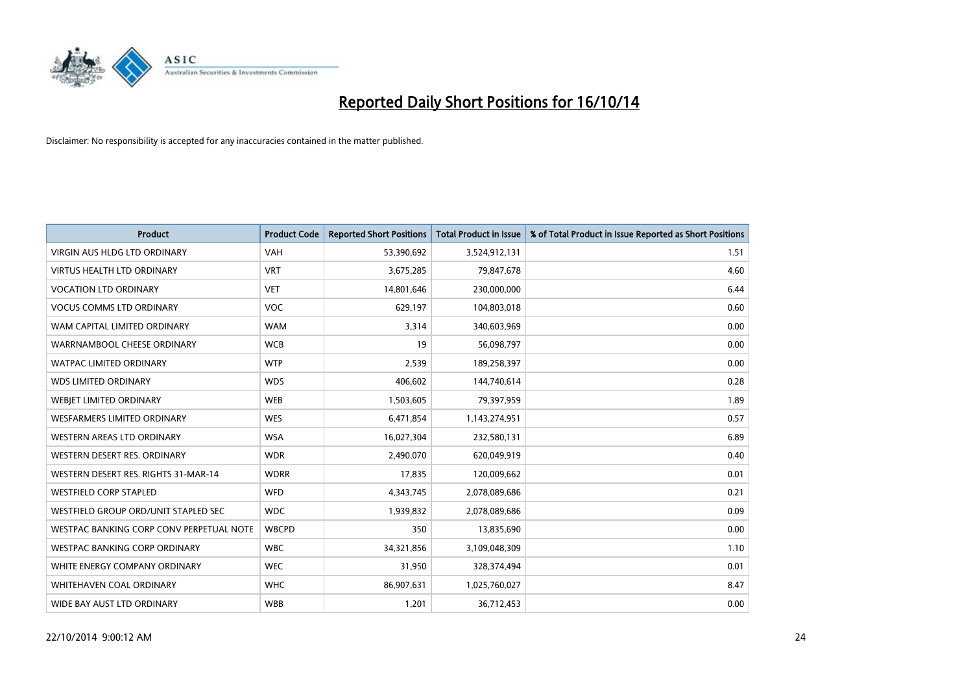

| <b>Product</b>                           | <b>Product Code</b> | <b>Reported Short Positions</b> | <b>Total Product in Issue</b> | % of Total Product in Issue Reported as Short Positions |
|------------------------------------------|---------------------|---------------------------------|-------------------------------|---------------------------------------------------------|
| <b>VIRGIN AUS HLDG LTD ORDINARY</b>      | <b>VAH</b>          | 53,390,692                      | 3,524,912,131                 | 1.51                                                    |
| <b>VIRTUS HEALTH LTD ORDINARY</b>        | <b>VRT</b>          | 3,675,285                       | 79,847,678                    | 4.60                                                    |
| <b>VOCATION LTD ORDINARY</b>             | <b>VET</b>          | 14,801,646                      | 230,000,000                   | 6.44                                                    |
| <b>VOCUS COMMS LTD ORDINARY</b>          | <b>VOC</b>          | 629,197                         | 104,803,018                   | 0.60                                                    |
| WAM CAPITAL LIMITED ORDINARY             | <b>WAM</b>          | 3,314                           | 340,603,969                   | 0.00                                                    |
| WARRNAMBOOL CHEESE ORDINARY              | <b>WCB</b>          | 19                              | 56,098,797                    | 0.00                                                    |
| <b>WATPAC LIMITED ORDINARY</b>           | <b>WTP</b>          | 2,539                           | 189,258,397                   | 0.00                                                    |
| <b>WDS LIMITED ORDINARY</b>              | <b>WDS</b>          | 406,602                         | 144,740,614                   | 0.28                                                    |
| WEBIET LIMITED ORDINARY                  | <b>WEB</b>          | 1,503,605                       | 79,397,959                    | 1.89                                                    |
| <b>WESFARMERS LIMITED ORDINARY</b>       | <b>WES</b>          | 6,471,854                       | 1,143,274,951                 | 0.57                                                    |
| WESTERN AREAS LTD ORDINARY               | <b>WSA</b>          | 16,027,304                      | 232,580,131                   | 6.89                                                    |
| WESTERN DESERT RES. ORDINARY             | <b>WDR</b>          | 2,490,070                       | 620,049,919                   | 0.40                                                    |
| WESTERN DESERT RES. RIGHTS 31-MAR-14     | <b>WDRR</b>         | 17,835                          | 120,009,662                   | 0.01                                                    |
| <b>WESTFIELD CORP STAPLED</b>            | WFD                 | 4,343,745                       | 2,078,089,686                 | 0.21                                                    |
| WESTFIELD GROUP ORD/UNIT STAPLED SEC     | <b>WDC</b>          | 1,939,832                       | 2,078,089,686                 | 0.09                                                    |
| WESTPAC BANKING CORP CONV PERPETUAL NOTE | <b>WBCPD</b>        | 350                             | 13,835,690                    | 0.00                                                    |
| <b>WESTPAC BANKING CORP ORDINARY</b>     | <b>WBC</b>          | 34,321,856                      | 3,109,048,309                 | 1.10                                                    |
| WHITE ENERGY COMPANY ORDINARY            | <b>WEC</b>          | 31,950                          | 328,374,494                   | 0.01                                                    |
| WHITEHAVEN COAL ORDINARY                 | <b>WHC</b>          | 86,907,631                      | 1,025,760,027                 | 8.47                                                    |
| WIDE BAY AUST LTD ORDINARY               | <b>WBB</b>          | 1,201                           | 36,712,453                    | 0.00                                                    |